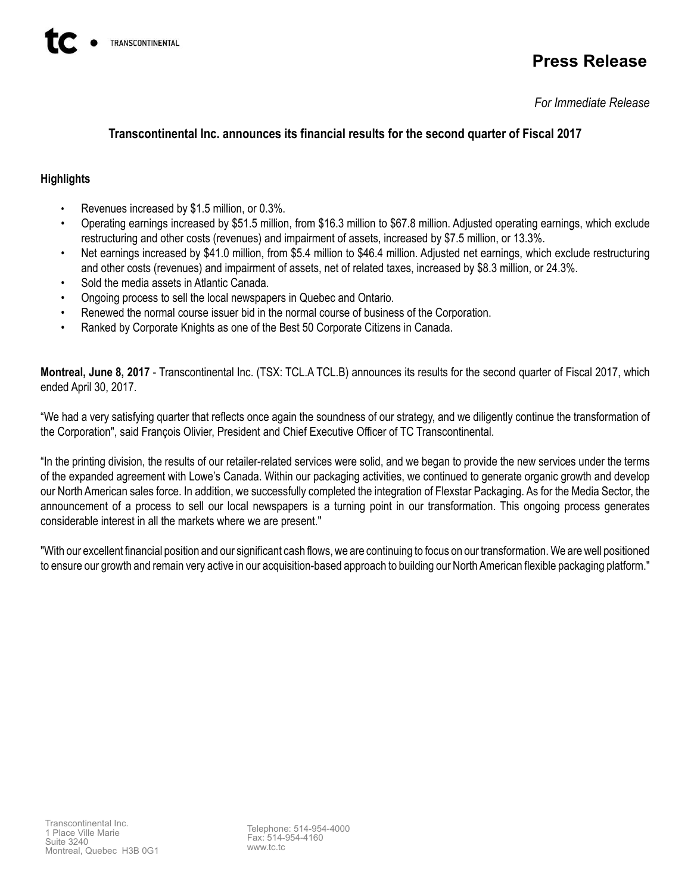# **Press Release**

*For Immediate Release*

# **Transcontinental Inc. announces its financial results for the second quarter of Fiscal 2017**

# **Highlights**

- Revenues increased by \$1.5 million, or 0.3%.
- Operating earnings increased by \$51.5 million, from \$16.3 million to \$67.8 million. Adjusted operating earnings, which exclude restructuring and other costs (revenues) and impairment of assets, increased by \$7.5 million, or 13.3%.
- Net earnings increased by \$41.0 million, from \$5.4 million to \$46.4 million. Adjusted net earnings, which exclude restructuring and other costs (revenues) and impairment of assets, net of related taxes, increased by \$8.3 million, or 24.3%.
- Sold the media assets in Atlantic Canada.
- Ongoing process to sell the local newspapers in Quebec and Ontario.
- Renewed the normal course issuer bid in the normal course of business of the Corporation.
- Ranked by Corporate Knights as one of the Best 50 Corporate Citizens in Canada.

**Montreal, June 8, 2017** - Transcontinental Inc. (TSX: TCL.A TCL.B) announces its results for the second quarter of Fiscal 2017, which ended April 30, 2017.

"We had a very satisfying quarter that reflects once again the soundness of our strategy, and we diligently continue the transformation of the Corporation", said François Olivier, President and Chief Executive Officer of TC Transcontinental.

"In the printing division, the results of our retailer-related services were solid, and we began to provide the new services under the terms of the expanded agreement with Lowe's Canada. Within our packaging activities, we continued to generate organic growth and develop our North American sales force. In addition, we successfully completed the integration of Flexstar Packaging. As for the Media Sector, the announcement of a process to sell our local newspapers is a turning point in our transformation. This ongoing process generates considerable interest in all the markets where we are present."

"With our excellent financial position and our significant cash flows, we are continuing to focus on our transformation. We are well positioned to ensure our growth and remain very active in our acquisition-based approach to building our North American flexible packaging platform."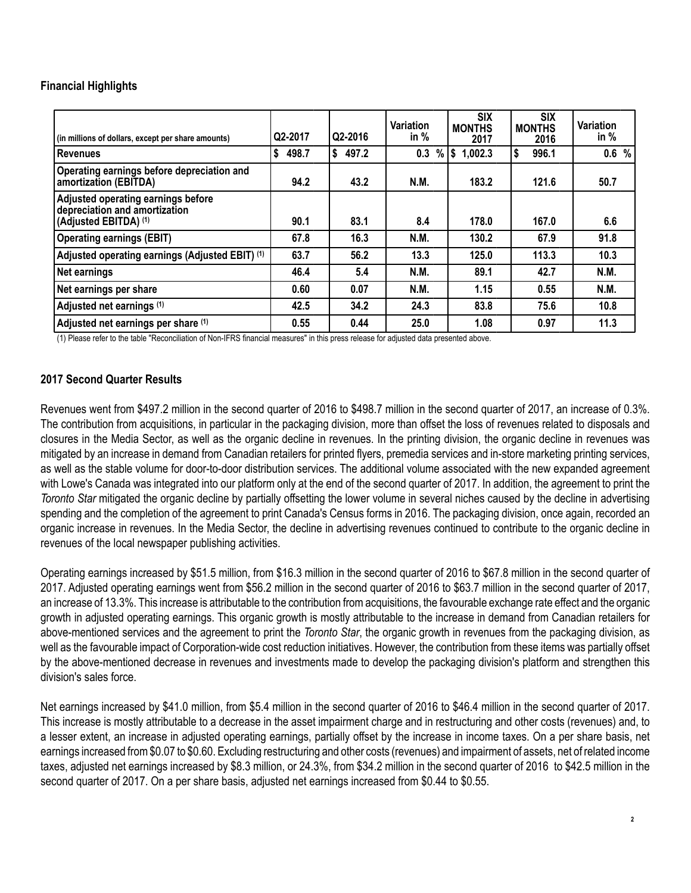# **Financial Highlights**

| (in millions of dollars, except per share amounts)                                           | Q2-2017     | Q2-2016     | <b>Variation</b><br>in $%$ | <b>SIX</b><br><b>MONTHS</b><br>2017 | <b>SIX</b><br><b>MONTHS</b><br>2016 | Variation<br>in $%$ |
|----------------------------------------------------------------------------------------------|-------------|-------------|----------------------------|-------------------------------------|-------------------------------------|---------------------|
| <b>Revenues</b>                                                                              | \$<br>498.7 | \$<br>497.2 | 0.3                        | $%$ \$ 1,002.3                      | \$<br>996.1                         | 0.6%                |
| Operating earnings before depreciation and<br>amortization (EBITDA)                          | 94.2        | 43.2        | N.M.                       | 183.2                               | 121.6                               | 50.7                |
| Adjusted operating earnings before<br>depreciation and amortization<br>(Adjusted EBITDA) (1) | 90.1        | 83.1        | 8.4                        | 178.0                               | 167.0                               | 6.6                 |
| <b>Operating earnings (EBIT)</b>                                                             | 67.8        | 16.3        | N.M.                       | 130.2                               | 67.9                                | 91.8                |
| Adjusted operating earnings (Adjusted EBIT) (1)                                              | 63.7        | 56.2        | 13.3                       | 125.0                               | 113.3                               | 10.3                |
| Net earnings                                                                                 | 46.4        | 5.4         | N.M.                       | 89.1                                | 42.7                                | <b>N.M.</b>         |
| Net earnings per share                                                                       | 0.60        | 0.07        | N.M.                       | 1.15                                | 0.55                                | <b>N.M.</b>         |
| Adjusted net earnings (1)                                                                    | 42.5        | 34.2        | 24.3                       | 83.8                                | 75.6                                | 10.8                |
| Adjusted net earnings per share (1)                                                          | 0.55        | 0.44        | 25.0                       | 1.08                                | 0.97                                | 11.3                |

(1) Please refer to the table "Reconciliation of Non-IFRS financial measures" in this press release for adjusted data presented above.

## **2017 Second Quarter Results**

Revenues went from \$497.2 million in the second quarter of 2016 to \$498.7 million in the second quarter of 2017, an increase of 0.3%. The contribution from acquisitions, in particular in the packaging division, more than offset the loss of revenues related to disposals and closures in the Media Sector, as well as the organic decline in revenues. In the printing division, the organic decline in revenues was mitigated by an increase in demand from Canadian retailers for printed flyers, premedia services and in-store marketing printing services, as well as the stable volume for door-to-door distribution services. The additional volume associated with the new expanded agreement with Lowe's Canada was integrated into our platform only at the end of the second quarter of 2017. In addition, the agreement to print the *Toronto Star* mitigated the organic decline by partially offsetting the lower volume in several niches caused by the decline in advertising spending and the completion of the agreement to print Canada's Census forms in 2016. The packaging division, once again, recorded an organic increase in revenues. In the Media Sector, the decline in advertising revenues continued to contribute to the organic decline in revenues of the local newspaper publishing activities.

Operating earnings increased by \$51.5 million, from \$16.3 million in the second quarter of 2016 to \$67.8 million in the second quarter of 2017. Adjusted operating earnings went from \$56.2 million in the second quarter of 2016 to \$63.7 million in the second quarter of 2017, an increase of 13.3%. This increase is attributable to the contribution from acquisitions, the favourable exchange rate effect and the organic growth in adjusted operating earnings. This organic growth is mostly attributable to the increase in demand from Canadian retailers for above-mentioned services and the agreement to print the *Toronto Star*, the organic growth in revenues from the packaging division, as well as the favourable impact of Corporation-wide cost reduction initiatives. However, the contribution from these items was partially offset by the above-mentioned decrease in revenues and investments made to develop the packaging division's platform and strengthen this division's sales force.

Net earnings increased by \$41.0 million, from \$5.4 million in the second quarter of 2016 to \$46.4 million in the second quarter of 2017. This increase is mostly attributable to a decrease in the asset impairment charge and in restructuring and other costs (revenues) and, to a lesser extent, an increase in adjusted operating earnings, partially offset by the increase in income taxes. On a per share basis, net earnings increased from \$0.07 to \$0.60. Excluding restructuring and other costs (revenues) and impairment of assets, net of related income taxes, adjusted net earnings increased by \$8.3 million, or 24.3%, from \$34.2 million in the second quarter of 2016 to \$42.5 million in the second quarter of 2017. On a per share basis, adjusted net earnings increased from \$0.44 to \$0.55.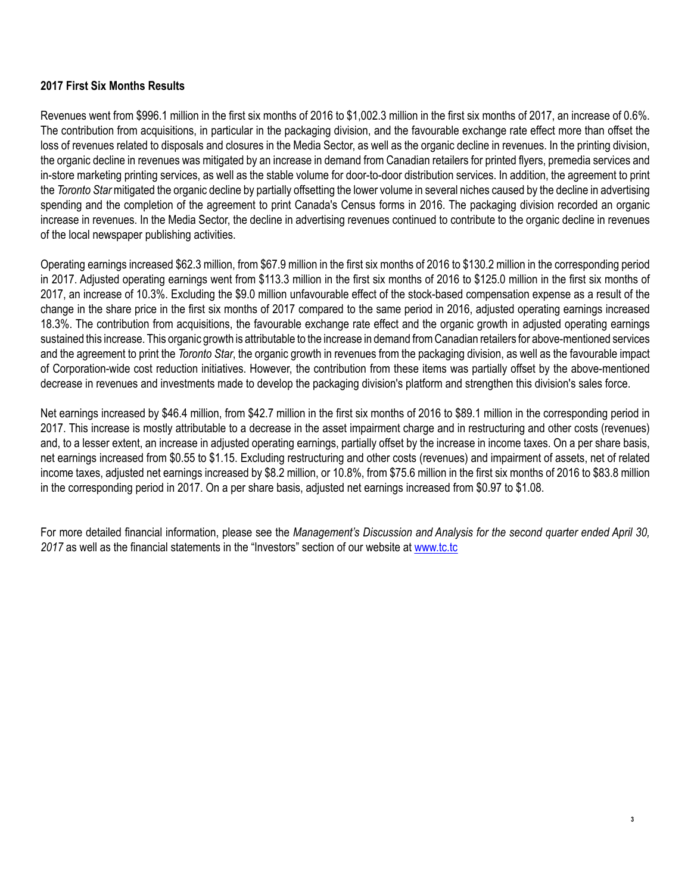# **2017 First Six Months Results**

Revenues went from \$996.1 million in the first six months of 2016 to \$1,002.3 million in the first six months of 2017, an increase of 0.6%. The contribution from acquisitions, in particular in the packaging division, and the favourable exchange rate effect more than offset the loss of revenues related to disposals and closures in the Media Sector, as well as the organic decline in revenues. In the printing division, the organic decline in revenues was mitigated by an increase in demand from Canadian retailers for printed flyers, premedia services and in-store marketing printing services, as well as the stable volume for door-to-door distribution services. In addition, the agreement to print the *Toronto Star* mitigated the organic decline by partially offsetting the lower volume in several niches caused by the decline in advertising spending and the completion of the agreement to print Canada's Census forms in 2016. The packaging division recorded an organic increase in revenues. In the Media Sector, the decline in advertising revenues continued to contribute to the organic decline in revenues of the local newspaper publishing activities.

Operating earnings increased \$62.3 million, from \$67.9 million in the first six months of 2016 to \$130.2 million in the corresponding period in 2017. Adjusted operating earnings went from \$113.3 million in the first six months of 2016 to \$125.0 million in the first six months of 2017, an increase of 10.3%. Excluding the \$9.0 million unfavourable effect of the stock-based compensation expense as a result of the change in the share price in the first six months of 2017 compared to the same period in 2016, adjusted operating earnings increased 18.3%. The contribution from acquisitions, the favourable exchange rate effect and the organic growth in adjusted operating earnings sustained this increase. This organic growth is attributable to the increase in demand from Canadian retailers for above-mentioned services and the agreement to print the *Toronto Star*, the organic growth in revenues from the packaging division, as well as the favourable impact of Corporation-wide cost reduction initiatives. However, the contribution from these items was partially offset by the above-mentioned decrease in revenues and investments made to develop the packaging division's platform and strengthen this division's sales force.

Net earnings increased by \$46.4 million, from \$42.7 million in the first six months of 2016 to \$89.1 million in the corresponding period in 2017. This increase is mostly attributable to a decrease in the asset impairment charge and in restructuring and other costs (revenues) and, to a lesser extent, an increase in adjusted operating earnings, partially offset by the increase in income taxes. On a per share basis, net earnings increased from \$0.55 to \$1.15. Excluding restructuring and other costs (revenues) and impairment of assets, net of related income taxes, adjusted net earnings increased by \$8.2 million, or 10.8%, from \$75.6 million in the first six months of 2016 to \$83.8 million in the corresponding period in 2017. On a per share basis, adjusted net earnings increased from \$0.97 to \$1.08.

For more detailed financial information, please see the *Management's Discussion and Analysis for the second quarter ended April 30, 2017* as well as the financial statements in the "Investors" section of our website at www.tc.tc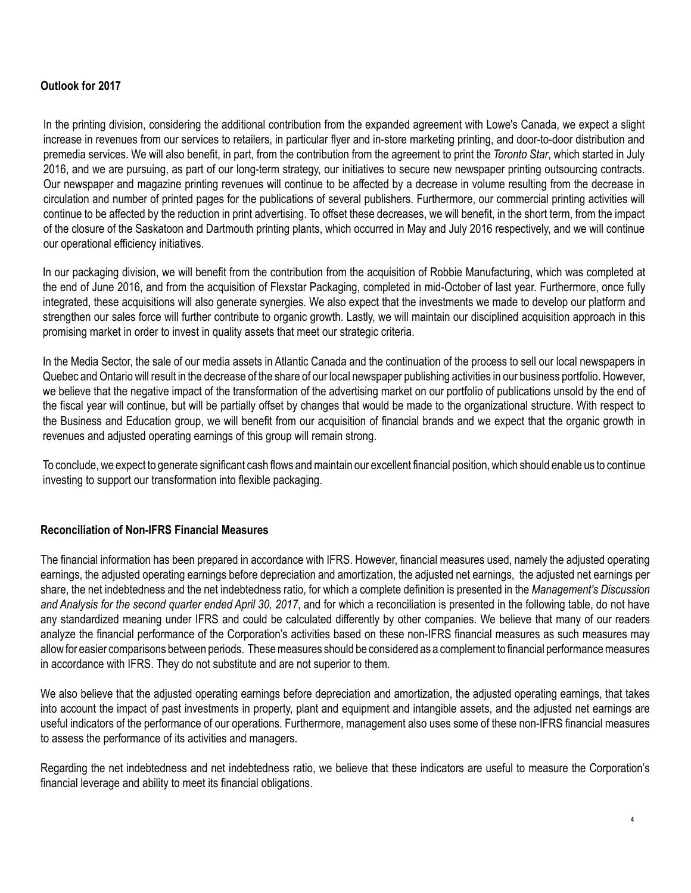# **Outlook for 2017**

In the printing division, considering the additional contribution from the expanded agreement with Lowe's Canada, we expect a slight increase in revenues from our services to retailers, in particular flyer and in-store marketing printing, and door-to-door distribution and premedia services. We will also benefit, in part, from the contribution from the agreement to print the *Toronto Star*, which started in July 2016, and we are pursuing, as part of our long-term strategy, our initiatives to secure new newspaper printing outsourcing contracts. Our newspaper and magazine printing revenues will continue to be affected by a decrease in volume resulting from the decrease in circulation and number of printed pages for the publications of several publishers. Furthermore, our commercial printing activities will continue to be affected by the reduction in print advertising. To offset these decreases, we will benefit, in the short term, from the impact of the closure of the Saskatoon and Dartmouth printing plants, which occurred in May and July 2016 respectively, and we will continue our operational efficiency initiatives.

In our packaging division, we will benefit from the contribution from the acquisition of Robbie Manufacturing, which was completed at the end of June 2016, and from the acquisition of Flexstar Packaging, completed in mid-October of last year. Furthermore, once fully integrated, these acquisitions will also generate synergies. We also expect that the investments we made to develop our platform and strengthen our sales force will further contribute to organic growth. Lastly, we will maintain our disciplined acquisition approach in this promising market in order to invest in quality assets that meet our strategic criteria.

In the Media Sector, the sale of our media assets in Atlantic Canada and the continuation of the process to sell our local newspapers in Quebec and Ontario will result in the decrease of the share of our local newspaper publishing activities in our business portfolio. However, we believe that the negative impact of the transformation of the advertising market on our portfolio of publications unsold by the end of the fiscal year will continue, but will be partially offset by changes that would be made to the organizational structure. With respect to the Business and Education group, we will benefit from our acquisition of financial brands and we expect that the organic growth in revenues and adjusted operating earnings of this group will remain strong.

To conclude, we expect to generate significant cash flows and maintain our excellent financial position, which should enable us to continue investing to support our transformation into flexible packaging.

## **Reconciliation of Non-IFRS Financial Measures**

The financial information has been prepared in accordance with IFRS. However, financial measures used, namely the adjusted operating earnings, the adjusted operating earnings before depreciation and amortization, the adjusted net earnings, the adjusted net earnings per share, the net indebtedness and the net indebtedness ratio, for which a complete definition is presented in the *Management's Discussion and Analysis for the second quarter ended April 30, 2017*, and for which a reconciliation is presented in the following table, do not have any standardized meaning under IFRS and could be calculated differently by other companies. We believe that many of our readers analyze the financial performance of the Corporation's activities based on these non-IFRS financial measures as such measures may allow for easier comparisons between periods. These measures should be considered as a complement to financial performance measures in accordance with IFRS. They do not substitute and are not superior to them.

We also believe that the adjusted operating earnings before depreciation and amortization, the adjusted operating earnings, that takes into account the impact of past investments in property, plant and equipment and intangible assets, and the adjusted net earnings are useful indicators of the performance of our operations. Furthermore, management also uses some of these non-IFRS financial measures to assess the performance of its activities and managers.

Regarding the net indebtedness and net indebtedness ratio, we believe that these indicators are useful to measure the Corporation's financial leverage and ability to meet its financial obligations.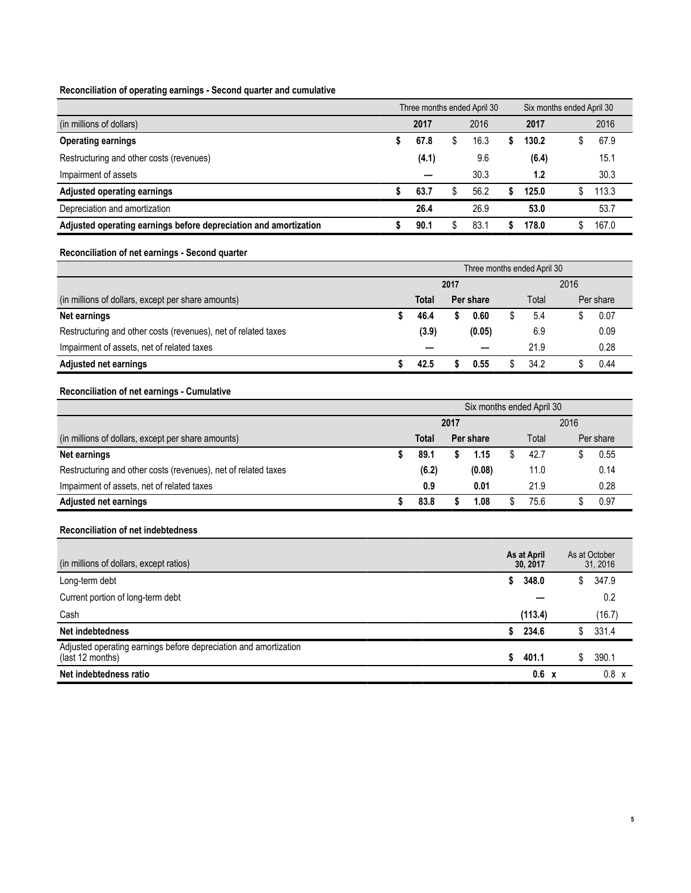#### **Reconciliation of operating earnings - Second quarter and cumulative**

|                                                                  |       | Three months ended April 30 | Six months ended April 30 |       |  |       |  |  |
|------------------------------------------------------------------|-------|-----------------------------|---------------------------|-------|--|-------|--|--|
| (in millions of dollars)                                         | 2017  | 2016                        |                           | 2017  |  | 2016  |  |  |
| <b>Operating earnings</b>                                        | 67.8  | 16.3                        |                           | 130.2 |  | 67.9  |  |  |
| Restructuring and other costs (revenues)                         | (4.1) | 9.6                         |                           | (6.4) |  | 15.1  |  |  |
| Impairment of assets                                             |       | 30.3                        |                           | 1.2   |  | 30.3  |  |  |
| Adjusted operating earnings                                      | 63.7  | 56.2                        |                           | 125.0 |  | 113.3 |  |  |
| Depreciation and amortization                                    | 26.4  | 26.9                        |                           | 53.0  |  | 53.7  |  |  |
| Adjusted operating earnings before depreciation and amortization | 90.1  | 83.1                        |                           | 178.0 |  | 167.0 |  |  |

#### **Reconciliation of net earnings - Second quarter**

|                                                                | Three months ended April 30 |                    |      |        |      |           |  |      |  |  |
|----------------------------------------------------------------|-----------------------------|--------------------|------|--------|------|-----------|--|------|--|--|
|                                                                |                             |                    | 2017 |        | 2016 |           |  |      |  |  |
| (in millions of dollars, except per share amounts)             |                             | Total<br>Per share |      | Total  |      | Per share |  |      |  |  |
| Net earnings                                                   |                             | 46.4               |      | 0.60   |      | 5.4       |  | 0.07 |  |  |
| Restructuring and other costs (revenues), net of related taxes |                             | (3.9)              |      | (0.05) |      | 6.9       |  | 0.09 |  |  |
| Impairment of assets, net of related taxes                     |                             | -                  |      |        |      | 21.9      |  | 0.28 |  |  |
| <b>Adjusted net earnings</b>                                   |                             | 42.5               |      | 0.55   |      | 34.2      |  | 0.44 |  |  |

#### **Reconciliation of net earnings - Cumulative**

|                                                                | Six months ended April 30 |       |      |           |  |       |  |           |  |  |  |
|----------------------------------------------------------------|---------------------------|-------|------|-----------|--|-------|--|-----------|--|--|--|
|                                                                |                           |       | 2017 | 2016      |  |       |  |           |  |  |  |
| (in millions of dollars, except per share amounts)             |                           | Total |      | Per share |  | Total |  | Per share |  |  |  |
| Net earnings                                                   |                           | 89.1  |      | 1.15      |  | 42.7  |  | 0.55      |  |  |  |
| Restructuring and other costs (revenues), net of related taxes |                           | (6.2) |      | (0.08)    |  | 11.0  |  | 0.14      |  |  |  |
| Impairment of assets, net of related taxes                     |                           | 0.9   |      | 0.01      |  | 21.9  |  | 0.28      |  |  |  |
| <b>Adjusted net earnings</b>                                   |                           | 83.8  |      | 1.08      |  | 75.6  |  | 0.97      |  |  |  |

#### **Reconciliation of net indebtedness**

| (in millions of dollars, except ratios)                                              |    | As at April<br>30.2017 |              | As at October<br>31, 2016 |
|--------------------------------------------------------------------------------------|----|------------------------|--------------|---------------------------|
| Long-term debt                                                                       | S. | 348.0                  | S.           | 347.9                     |
| Current portion of long-term debt                                                    |    |                        |              | 0.2                       |
| Cash                                                                                 |    | (113.4)                |              | (16.7)                    |
| Net indebtedness                                                                     |    | 234.6                  |              | 331.4                     |
| Adjusted operating earnings before depreciation and amortization<br>(last 12 months) | S. | 401.1                  |              | 390.1                     |
| Net indebtedness ratio                                                               |    | 0.6                    | $\mathbf{x}$ | $0.8 \times$              |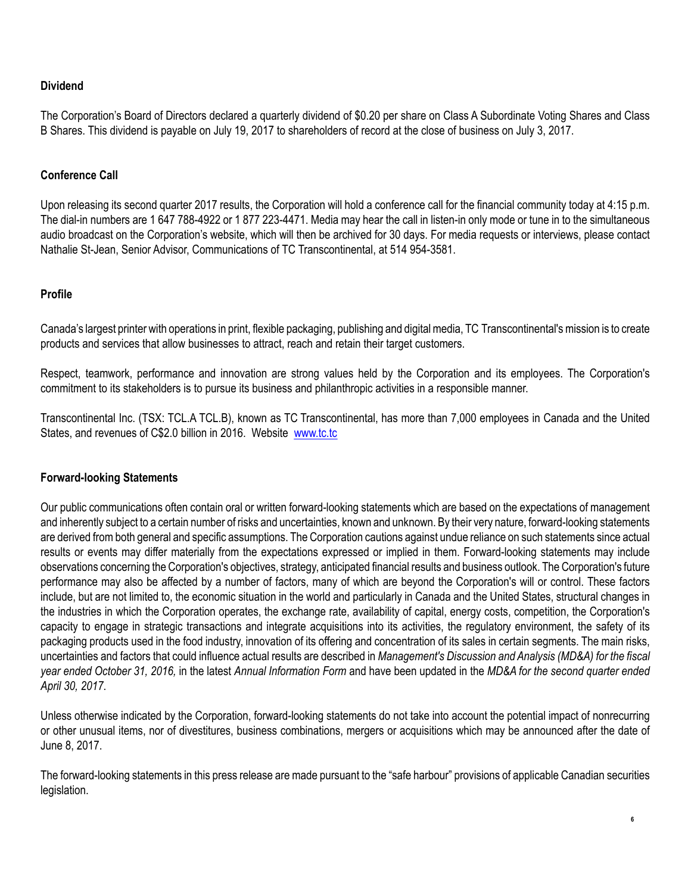# **Dividend**

The Corporation's Board of Directors declared a quarterly dividend of \$0.20 per share on Class A Subordinate Voting Shares and Class B Shares. This dividend is payable on July 19, 2017 to shareholders of record at the close of business on July 3, 2017.

# **Conference Call**

Upon releasing its second quarter 2017 results, the Corporation will hold a conference call for the financial community today at 4:15 p.m. The dial-in numbers are 1 647 788-4922 or 1 877 223-4471. Media may hear the call in listen-in only mode or tune in to the simultaneous audio broadcast on the Corporation's website, which will then be archived for 30 days. For media requests or interviews, please contact Nathalie St-Jean, Senior Advisor, Communications of TC Transcontinental, at 514 954-3581.

# **Profile**

Canada's largest printer with operations in print, flexible packaging, publishing and digital media, TC Transcontinental's mission is to create products and services that allow businesses to attract, reach and retain their target customers.

Respect, teamwork, performance and innovation are strong values held by the Corporation and its employees. The Corporation's commitment to its stakeholders is to pursue its business and philanthropic activities in a responsible manner.

Transcontinental Inc. (TSX: TCL.A TCL.B), known as TC Transcontinental, has more than 7,000 employees in Canada and the United States, and revenues of C\$2.0 billion in 2016. Website www.tc.tc

# **Forward-looking Statements**

Our public communications often contain oral or written forward-looking statements which are based on the expectations of management and inherently subject to a certain number of risks and uncertainties, known and unknown. By their very nature, forward-looking statements are derived from both general and specific assumptions. The Corporation cautions against undue reliance on such statements since actual results or events may differ materially from the expectations expressed or implied in them. Forward-looking statements may include observations concerning the Corporation's objectives, strategy, anticipated financial results and business outlook. The Corporation's future performance may also be affected by a number of factors, many of which are beyond the Corporation's will or control. These factors include, but are not limited to, the economic situation in the world and particularly in Canada and the United States, structural changes in the industries in which the Corporation operates, the exchange rate, availability of capital, energy costs, competition, the Corporation's capacity to engage in strategic transactions and integrate acquisitions into its activities, the regulatory environment, the safety of its packaging products used in the food industry, innovation of its offering and concentration of its sales in certain segments. The main risks, uncertainties and factors that could influence actual results are described in *Management's Discussion and Analysis (MD&A) for the fiscal year ended October 31, 2016,* in the latest *Annual Information Form* and have been updated in the *MD&A for the second quarter ended April 30, 2017*.

Unless otherwise indicated by the Corporation, forward-looking statements do not take into account the potential impact of nonrecurring or other unusual items, nor of divestitures, business combinations, mergers or acquisitions which may be announced after the date of June 8, 2017.

The forward-looking statements in this press release are made pursuant to the "safe harbour" provisions of applicable Canadian securities legislation.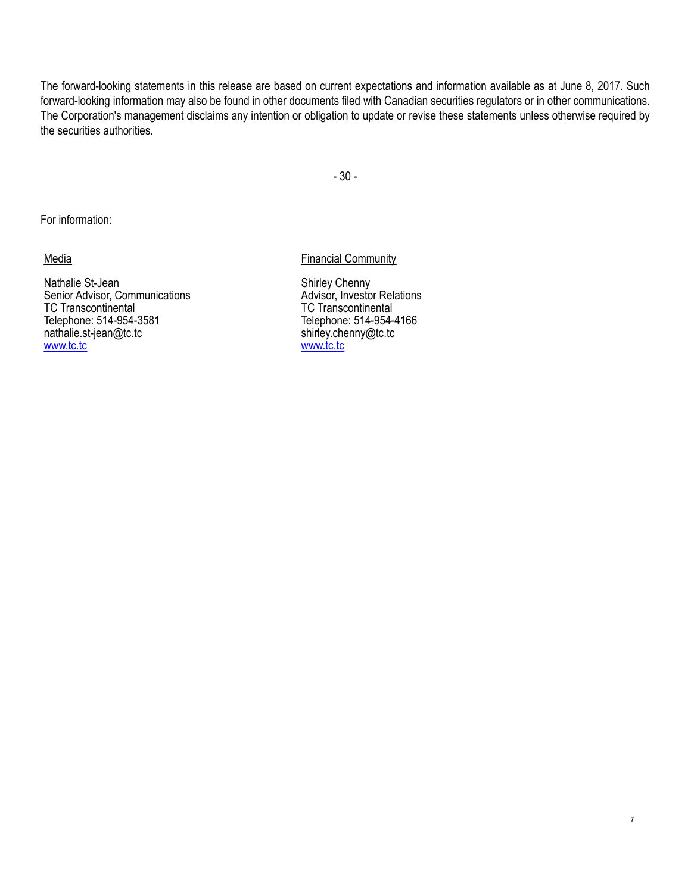The forward-looking statements in this release are based on current expectations and information available as at June 8, 2017. Such forward-looking information may also be found in other documents filed with Canadian securities regulators or in other communications. The Corporation's management disclaims any intention or obligation to update or revise these statements unless otherwise required by the securities authorities.

- 30 -

For information:

Media

Nathalie St-Jean Senior Advisor, Communications TC Transcontinental Telephone: 514-954-3581 nathalie.st-jean@tc.tc www.tc.tc

Financial Community

Shirley Chenny Advisor, Investor Relations TC Transcontinental Telephone: 514-954-4166 shirley.chenny@tc.tc www.tc.tc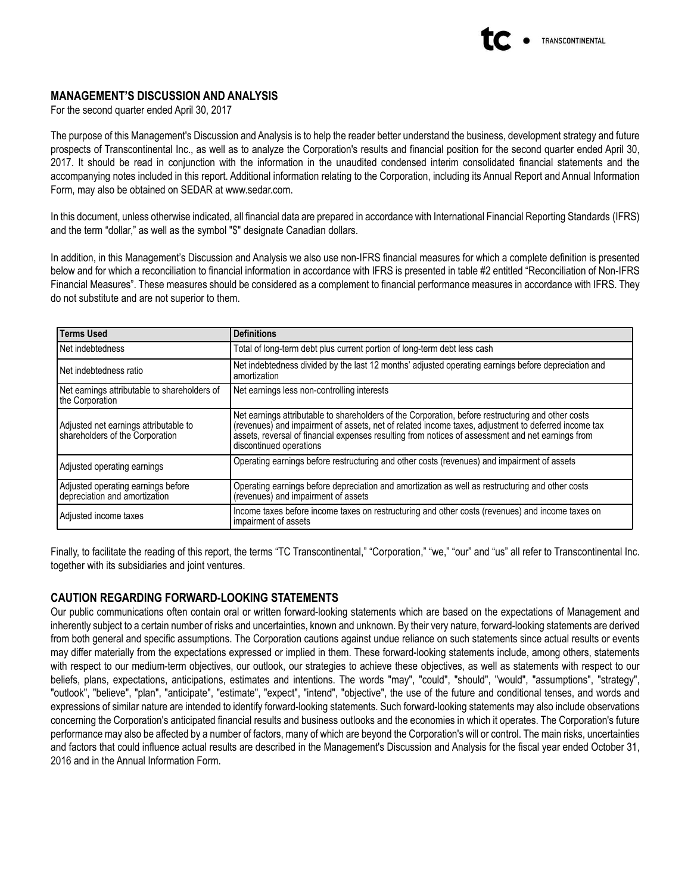

## **MANAGEMENT'S DISCUSSION AND ANALYSIS**

For the second quarter ended April 30, 2017

The purpose of this Management's Discussion and Analysis is to help the reader better understand the business, development strategy and future prospects of Transcontinental Inc., as well as to analyze the Corporation's results and financial position for the second quarter ended April 30, 2017. It should be read in conjunction with the information in the unaudited condensed interim consolidated financial statements and the accompanying notes included in this report. Additional information relating to the Corporation, including its Annual Report and Annual Information Form, may also be obtained on SEDAR at www.sedar.com.

In this document, unless otherwise indicated, all financial data are prepared in accordance with International Financial Reporting Standards (IFRS) and the term "dollar," as well as the symbol "\$" designate Canadian dollars.

In addition, in this Management's Discussion and Analysis we also use non-IFRS financial measures for which a complete definition is presented below and for which a reconciliation to financial information in accordance with IFRS is presented in table #2 entitled "Reconciliation of Non-IFRS Financial Measures". These measures should be considered as a complement to financial performance measures in accordance with IFRS. They do not substitute and are not superior to them.

| <b>Terms Used</b>                                                        | <b>Definitions</b>                                                                                                                                                                                                                                                                                                                        |
|--------------------------------------------------------------------------|-------------------------------------------------------------------------------------------------------------------------------------------------------------------------------------------------------------------------------------------------------------------------------------------------------------------------------------------|
| Net indebtedness                                                         | Total of long-term debt plus current portion of long-term debt less cash                                                                                                                                                                                                                                                                  |
| Net indebtedness ratio                                                   | Net indebtedness divided by the last 12 months' adjusted operating earnings before depreciation and<br>amortization                                                                                                                                                                                                                       |
| Net earnings attributable to shareholders of<br>the Corporation          | Net earnings less non-controlling interests                                                                                                                                                                                                                                                                                               |
| Adjusted net earnings attributable to<br>shareholders of the Corporation | Net earnings attributable to shareholders of the Corporation, before restructuring and other costs<br>(revenues) and impairment of assets, net of related income taxes, adjustment to deferred income tax<br>assets, reversal of financial expenses resulting from notices of assessment and net earnings from<br>discontinued operations |
| Adjusted operating earnings                                              | Operating earnings before restructuring and other costs (revenues) and impairment of assets                                                                                                                                                                                                                                               |
| Adjusted operating earnings before<br>depreciation and amortization      | Operating earnings before depreciation and amortization as well as restructuring and other costs<br>(revenues) and impairment of assets                                                                                                                                                                                                   |
| Adjusted income taxes                                                    | Income taxes before income taxes on restructuring and other costs (revenues) and income taxes on<br>impairment of assets                                                                                                                                                                                                                  |

Finally, to facilitate the reading of this report, the terms "TC Transcontinental," "Corporation," "we," "our" and "us" all refer to Transcontinental Inc. together with its subsidiaries and joint ventures.

## **CAUTION REGARDING FORWARD-LOOKING STATEMENTS**

Our public communications often contain oral or written forward-looking statements which are based on the expectations of Management and inherently subject to a certain number of risks and uncertainties, known and unknown. By their very nature, forward-looking statements are derived from both general and specific assumptions. The Corporation cautions against undue reliance on such statements since actual results or events may differ materially from the expectations expressed or implied in them. These forward-looking statements include, among others, statements with respect to our medium-term objectives, our outlook, our strategies to achieve these objectives, as well as statements with respect to our beliefs, plans, expectations, anticipations, estimates and intentions. The words "may", "could", "should", "would", "assumptions", "strategy", "outlook", "believe", "plan", "anticipate", "estimate", "expect", "intend", "objective", the use of the future and conditional tenses, and words and expressions of similar nature are intended to identify forward-looking statements. Such forward-looking statements may also include observations concerning the Corporation's anticipated financial results and business outlooks and the economies in which it operates. The Corporation's future performance may also be affected by a number of factors, many of which are beyond the Corporation's will or control. The main risks, uncertainties and factors that could influence actual results are described in the Management's Discussion and Analysis for the fiscal year ended October 31, 2016 and in the Annual Information Form.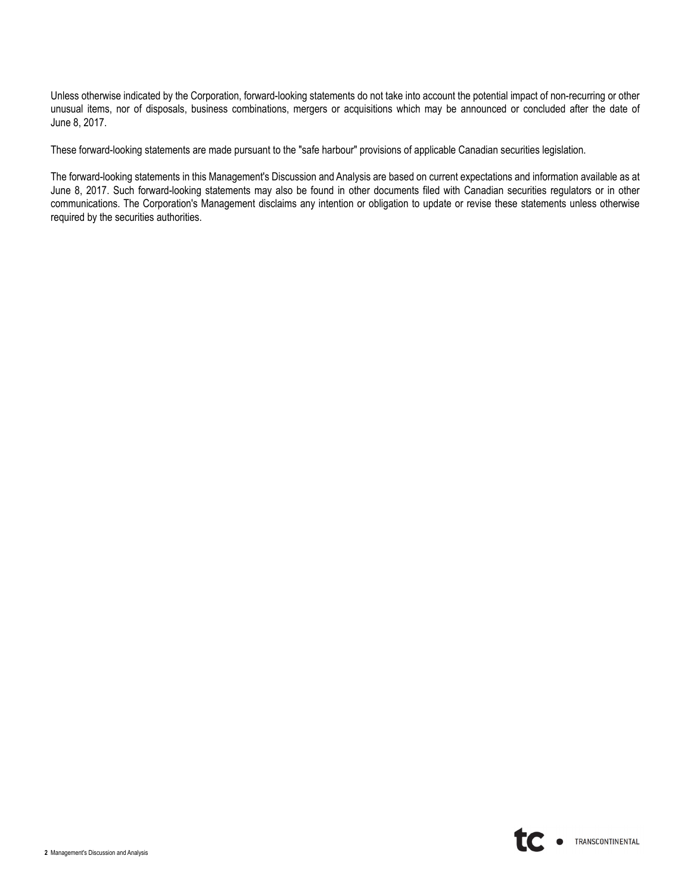Unless otherwise indicated by the Corporation, forward-looking statements do not take into account the potential impact of non-recurring or other unusual items, nor of disposals, business combinations, mergers or acquisitions which may be announced or concluded after the date of June 8, 2017.

These forward-looking statements are made pursuant to the "safe harbour" provisions of applicable Canadian securities legislation.

The forward-looking statements in this Management's Discussion and Analysis are based on current expectations and information available as at June 8, 2017. Such forward-looking statements may also be found in other documents filed with Canadian securities regulators or in other communications. The Corporation's Management disclaims any intention or obligation to update or revise these statements unless otherwise required by the securities authorities.

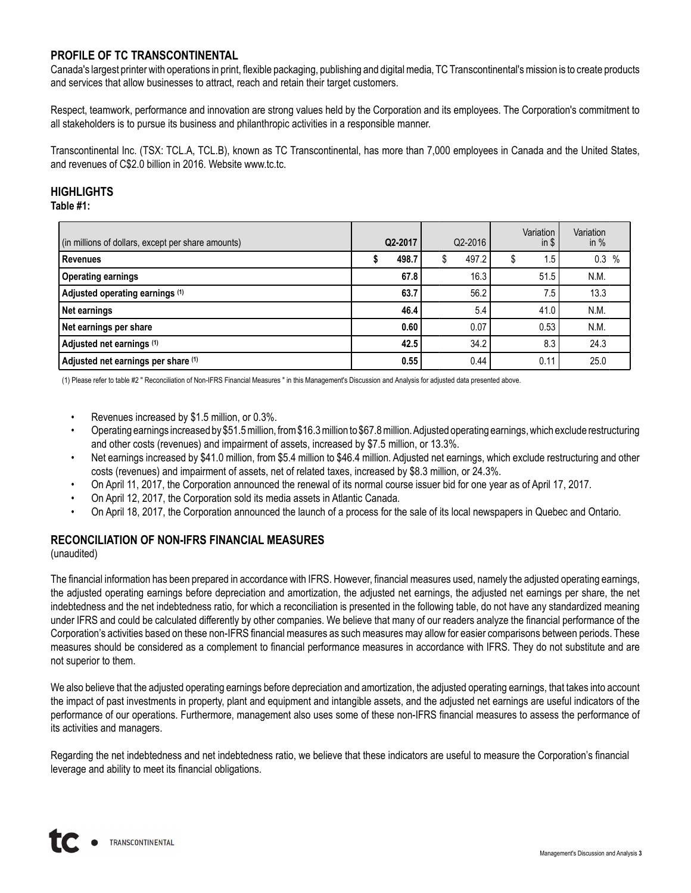# **PROFILE OF TC TRANSCONTINENTAL**

Canada's largest printer with operations in print, flexible packaging, publishing and digital media, TC Transcontinental's mission is to create products and services that allow businesses to attract, reach and retain their target customers.

Respect, teamwork, performance and innovation are strong values held by the Corporation and its employees. The Corporation's commitment to all stakeholders is to pursue its business and philanthropic activities in a responsible manner.

Transcontinental Inc. (TSX: TCL.A, TCL.B), known as TC Transcontinental, has more than 7,000 employees in Canada and the United States, and revenues of C\$2.0 billion in 2016. Website www.tc.tc.

# **HIGHLIGHTS**

## **Table #1:**

| (in millions of dollars, except per share amounts) | Q2-2017 | Q2-2016 |             | Variation<br>in $$$ | Variation<br>in $%$ |      |
|----------------------------------------------------|---------|---------|-------------|---------------------|---------------------|------|
| Revenues                                           |         | 498.7   | \$<br>497.2 | Œ.                  | 1.5                 | 0.3% |
| <b>Operating earnings</b>                          |         | 67.8    | 16.3        |                     | 51.5                | N.M. |
| Adjusted operating earnings (1)                    |         | 63.7    | 56.2        |                     | 7.5                 | 13.3 |
| Net earnings                                       |         | 46.4    | 5.4         |                     | 41.0                | N.M. |
| Net earnings per share                             |         | 0.60    | 0.07        |                     | 0.53                | N.M. |
| Adjusted net earnings (1)                          |         | 42.5    | 34.2        |                     | 8.3                 | 24.3 |
| Adjusted net earnings per share (1)                |         | 0.55    | 0.44        |                     | 0.11                | 25.0 |

(1) Please refer to table #2 " Reconciliation of Non-IFRS Financial Measures " in this Management's Discussion and Analysis for adjusted data presented above.

- Revenues increased by \$1.5 million, or 0.3%.
- Operating earnings increased by \$51.5million, from \$16.3million to \$67.8million. Adjusted operating earnings, which exclude restructuring and other costs (revenues) and impairment of assets, increased by \$7.5 million, or 13.3%.
- Net earnings increased by \$41.0 million, from \$5.4 million to \$46.4 million. Adjusted net earnings, which exclude restructuring and other costs (revenues) and impairment of assets, net of related taxes, increased by \$8.3 million, or 24.3%.
- On April 11, 2017, the Corporation announced the renewal of its normal course issuer bid for one year as of April 17, 2017.
- On April 12, 2017, the Corporation sold its media assets in Atlantic Canada.
- On April 18, 2017, the Corporation announced the launch of a process for the sale of its local newspapers in Quebec and Ontario.

# **RECONCILIATION OF NON-IFRS FINANCIAL MEASURES**

(unaudited)

The financial information has been prepared in accordance with IFRS. However, financial measures used, namely the adjusted operating earnings, the adjusted operating earnings before depreciation and amortization, the adjusted net earnings, the adjusted net earnings per share, the net indebtedness and the net indebtedness ratio, for which a reconciliation is presented in the following table, do not have any standardized meaning under IFRS and could be calculated differently by other companies. We believe that many of our readers analyze the financial performance of the Corporation's activities based on these non-IFRS financial measures as such measures may allow for easier comparisons between periods. These measures should be considered as a complement to financial performance measures in accordance with IFRS. They do not substitute and are not superior to them.

We also believe that the adjusted operating earnings before depreciation and amortization, the adjusted operating earnings, that takes into account the impact of past investments in property, plant and equipment and intangible assets, and the adjusted net earnings are useful indicators of the performance of our operations. Furthermore, management also uses some of these non-IFRS financial measures to assess the performance of its activities and managers.

Regarding the net indebtedness and net indebtedness ratio, we believe that these indicators are useful to measure the Corporation's financial leverage and ability to meet its financial obligations.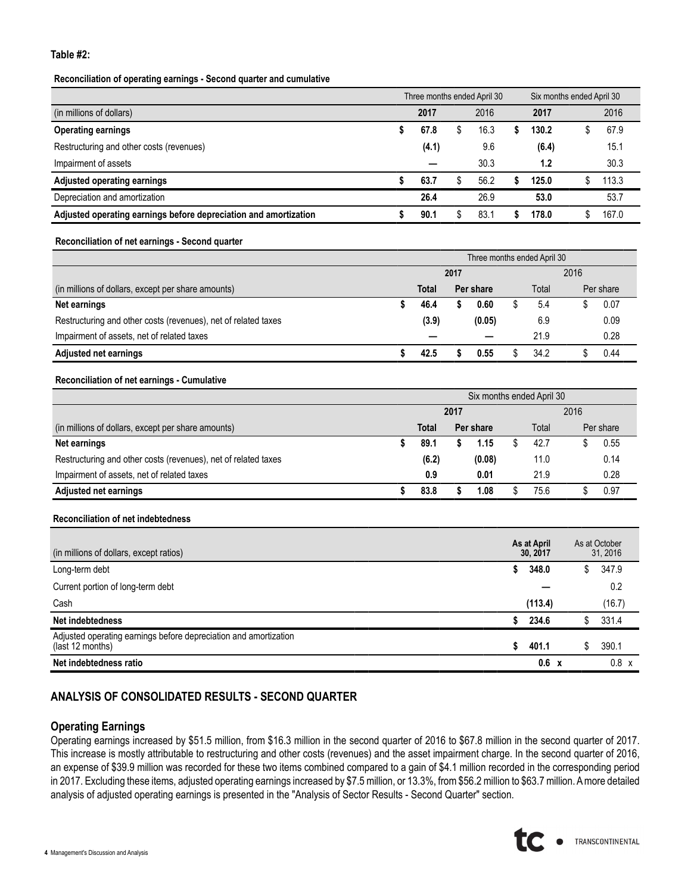#### **Table #2:**

#### **Reconciliation of operating earnings - Second quarter and cumulative**

|                                                                  | Three months ended April 30 |      | Six months ended April 30 |       |  |       |  |
|------------------------------------------------------------------|-----------------------------|------|---------------------------|-------|--|-------|--|
| (in millions of dollars)                                         | 2017                        | 2016 |                           | 2017  |  | 2016  |  |
| <b>Operating earnings</b>                                        | 67.8                        | 16.3 |                           | 130.2 |  | 67.9  |  |
| Restructuring and other costs (revenues)                         | (4.1)                       | 9.6  |                           | (6.4) |  | 15.1  |  |
| Impairment of assets                                             |                             | 30.3 |                           | 1.2   |  | 30.3  |  |
| Adjusted operating earnings                                      | 63.7                        | 56.2 |                           | 125.0 |  | 113.3 |  |
| Depreciation and amortization                                    | 26.4                        | 26.9 |                           | 53.0  |  | 53.7  |  |
| Adjusted operating earnings before depreciation and amortization | 90.1                        | 83.1 |                           | 178.0 |  | 167.0 |  |

#### **Reconciliation of net earnings - Second quarter**

|                                                                | Three months ended April 30 |       |  |           |  |       |  |           |  |  |  |
|----------------------------------------------------------------|-----------------------------|-------|--|-----------|--|-------|--|-----------|--|--|--|
|                                                                | 2017                        |       |  |           |  | 2016  |  |           |  |  |  |
| (in millions of dollars, except per share amounts)             | Total                       |       |  | Per share |  | Total |  | Per share |  |  |  |
| Net earnings                                                   |                             | 46.4  |  | 0.60      |  | 5.4   |  | 0.07      |  |  |  |
| Restructuring and other costs (revenues), net of related taxes |                             | (3.9) |  | (0.05)    |  | 6.9   |  | 0.09      |  |  |  |
| Impairment of assets, net of related taxes                     |                             |       |  |           |  | 21.9  |  | 0.28      |  |  |  |
| <b>Adjusted net earnings</b>                                   |                             | 42.5  |  | 0.55      |  | 34.2  |  | 0.44      |  |  |  |

#### **Reconciliation of net earnings - Cumulative**

|                                                                | Six months ended April 30 |                    |  |        |       |      |           |      |  |  |  |
|----------------------------------------------------------------|---------------------------|--------------------|--|--------|-------|------|-----------|------|--|--|--|
|                                                                | 2017                      |                    |  |        |       | 2016 |           |      |  |  |  |
| (in millions of dollars, except per share amounts)             |                           | Total<br>Per share |  |        | Total |      | Per share |      |  |  |  |
| Net earnings                                                   |                           | 89.1               |  | 1.15   |       | 42.7 |           | 0.55 |  |  |  |
| Restructuring and other costs (revenues), net of related taxes |                           | (6.2)              |  | (0.08) |       | 11.0 |           | 0.14 |  |  |  |
| Impairment of assets, net of related taxes                     |                           | 0.9                |  | 0.01   |       | 21.9 |           | 0.28 |  |  |  |
| <b>Adjusted net earnings</b>                                   |                           | 83.8               |  | 08.ا   |       | 75.6 |           | 0.97 |  |  |  |

#### **Reconciliation of net indebtedness**

| (in millions of dollars, except ratios)                                              |    | As at April<br>30, 2017 |    | As at October<br>31, 2016 |
|--------------------------------------------------------------------------------------|----|-------------------------|----|---------------------------|
| Long-term debt                                                                       | S. | 348.0                   | \$ | 347.9                     |
| Current portion of long-term debt                                                    |    |                         |    | 0.2                       |
| Cash                                                                                 |    | (113.4)                 |    | (16.7)                    |
| Net indebtedness                                                                     |    | 234.6                   |    | 331.4                     |
| Adjusted operating earnings before depreciation and amortization<br>(last 12 months) | S. | 401.1                   | S. | 390.1                     |
| Net indebtedness ratio                                                               |    | 0.6<br>$\mathbf{x}$     |    | $0.8 \times$              |

# **ANALYSIS OF CONSOLIDATED RESULTS - SECOND QUARTER**

#### **Operating Earnings**

Operating earnings increased by \$51.5 million, from \$16.3 million in the second quarter of 2016 to \$67.8 million in the second quarter of 2017. This increase is mostly attributable to restructuring and other costs (revenues) and the asset impairment charge. In the second quarter of 2016, an expense of \$39.9 million was recorded for these two items combined compared to a gain of \$4.1 million recorded in the corresponding period in 2017. Excluding these items, adjusted operating earnings increased by \$7.5 million, or 13.3%, from \$56.2 million to \$63.7 million. A more detailed analysis of adjusted operating earnings is presented in the "Analysis of Sector Results - Second Quarter" section.

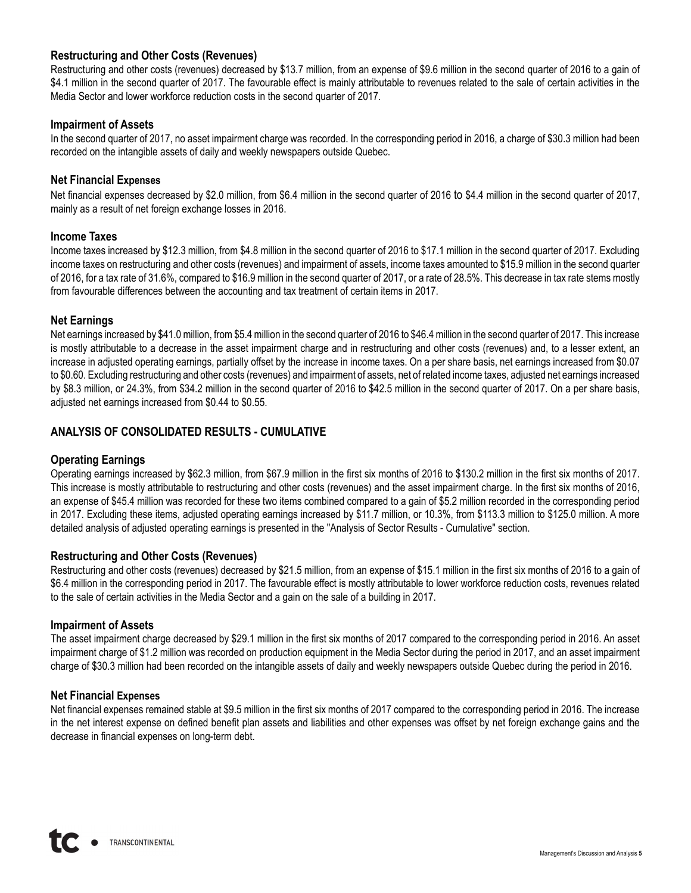## **Restructuring and Other Costs (Revenues)**

Restructuring and other costs (revenues) decreased by \$13.7 million, from an expense of \$9.6 million in the second quarter of 2016 to a gain of \$4.1 million in the second quarter of 2017. The favourable effect is mainly attributable to revenues related to the sale of certain activities in the Media Sector and lower workforce reduction costs in the second quarter of 2017.

### **Impairment of Assets**

In the second quarter of 2017, no asset impairment charge was recorded. In the corresponding period in 2016, a charge of \$30.3 million had been recorded on the intangible assets of daily and weekly newspapers outside Quebec.

#### **Net Financial Expenses**

Net financial expenses decreased by \$2.0 million, from \$6.4 million in the second quarter of 2016 to \$4.4 million in the second quarter of 2017, mainly as a result of net foreign exchange losses in 2016.

#### **Income Taxes**

Income taxes increased by \$12.3 million, from \$4.8 million in the second quarter of 2016 to \$17.1 million in the second quarter of 2017. Excluding income taxes on restructuring and other costs (revenues) and impairment of assets, income taxes amounted to \$15.9 million in the second quarter of 2016, for a tax rate of 31.6%, compared to \$16.9 million in the second quarter of 2017, or a rate of 28.5%. This decrease in tax rate stems mostly from favourable differences between the accounting and tax treatment of certain items in 2017.

#### **Net Earnings**

Net earnings increased by \$41.0million, from \$5.4million in the second quarter of 2016 to \$46.4million in the second quarter of 2017. This increase is mostly attributable to a decrease in the asset impairment charge and in restructuring and other costs (revenues) and, to a lesser extent, an increase in adjusted operating earnings, partially offset by the increase in income taxes. On a per share basis, net earnings increased from \$0.07 to \$0.60. Excluding restructuring and other costs (revenues) and impairment of assets, net of related income taxes, adjusted net earnings increased by \$8.3 million, or 24.3%, from \$34.2 million in the second quarter of 2016 to \$42.5 million in the second quarter of 2017. On a per share basis, adjusted net earnings increased from \$0.44 to \$0.55.

## **ANALYSIS OF CONSOLIDATED RESULTS - CUMULATIVE**

## **Operating Earnings**

Operating earnings increased by \$62.3 million, from \$67.9 million in the first six months of 2016 to \$130.2 million in the first six months of 2017. This increase is mostly attributable to restructuring and other costs (revenues) and the asset impairment charge. In the first six months of 2016, an expense of \$45.4 million was recorded for these two items combined compared to a gain of \$5.2 million recorded in the corresponding period in 2017. Excluding these items, adjusted operating earnings increased by \$11.7 million, or 10.3%, from \$113.3 million to \$125.0 million. A more detailed analysis of adjusted operating earnings is presented in the "Analysis of Sector Results - Cumulative" section.

#### **Restructuring and Other Costs (Revenues)**

Restructuring and other costs (revenues) decreased by \$21.5 million, from an expense of \$15.1 million in the first six months of 2016 to a gain of \$6.4 million in the corresponding period in 2017. The favourable effect is mostly attributable to lower workforce reduction costs, revenues related to the sale of certain activities in the Media Sector and a gain on the sale of a building in 2017.

#### **Impairment of Assets**

The asset impairment charge decreased by \$29.1 million in the first six months of 2017 compared to the corresponding period in 2016. An asset impairment charge of \$1.2 million was recorded on production equipment in the Media Sector during the period in 2017, and an asset impairment charge of \$30.3 million had been recorded on the intangible assets of daily and weekly newspapers outside Quebec during the period in 2016.

#### **Net Financial Expenses**

Net financial expenses remained stable at \$9.5 million in the first six months of 2017 compared to the corresponding period in 2016. The increase in the net interest expense on defined benefit plan assets and liabilities and other expenses was offset by net foreign exchange gains and the decrease in financial expenses on long-term debt.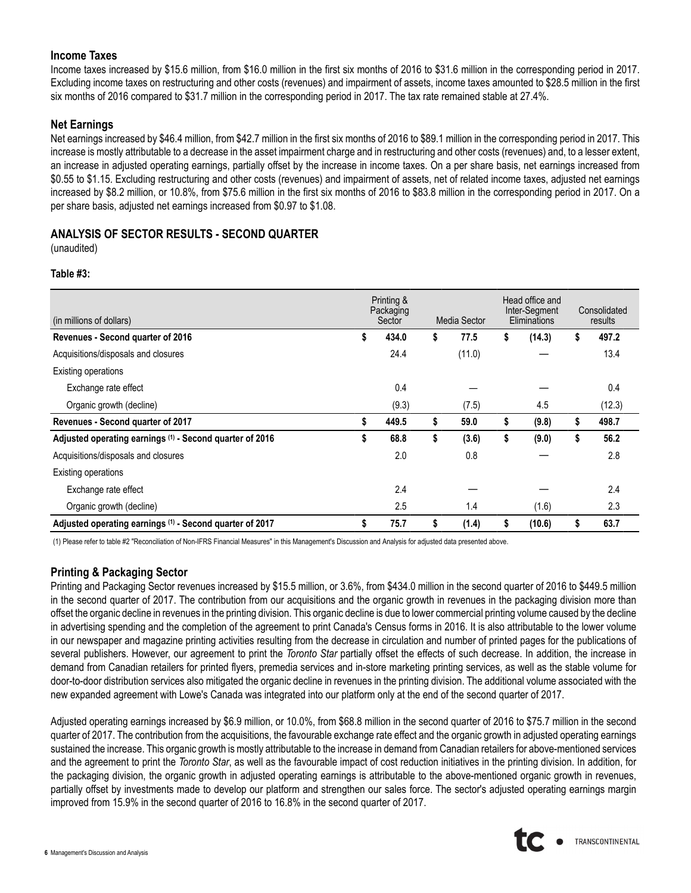## **Income Taxes**

Income taxes increased by \$15.6 million, from \$16.0 million in the first six months of 2016 to \$31.6 million in the corresponding period in 2017. Excluding income taxes on restructuring and other costs (revenues) and impairment of assets, income taxes amounted to \$28.5 million in the first six months of 2016 compared to \$31.7 million in the corresponding period in 2017. The tax rate remained stable at 27.4%.

## **Net Earnings**

Net earnings increased by \$46.4 million, from \$42.7 million in the first six months of 2016 to \$89.1 million in the corresponding period in 2017. This increase is mostly attributable to a decrease in the asset impairment charge and in restructuring and other costs (revenues) and, to a lesser extent, an increase in adjusted operating earnings, partially offset by the increase in income taxes. On a per share basis, net earnings increased from \$0.55 to \$1.15. Excluding restructuring and other costs (revenues) and impairment of assets, net of related income taxes, adjusted net earnings increased by \$8.2 million, or 10.8%, from \$75.6 million in the first six months of 2016 to \$83.8 million in the corresponding period in 2017. On a per share basis, adjusted net earnings increased from \$0.97 to \$1.08.

# **ANALYSIS OF SECTOR RESULTS - SECOND QUARTER**

(unaudited)

## **Table #3:**

| (in millions of dollars)                                 | Printing &<br>Packaging<br>Sector | Media Sector |        | Head office and<br>Inter-Segment<br>Eliminations |        | Consolidated<br>results |
|----------------------------------------------------------|-----------------------------------|--------------|--------|--------------------------------------------------|--------|-------------------------|
| Revenues - Second quarter of 2016                        | \$<br>434.0                       | \$           | 77.5   | \$                                               | (14.3) | \$<br>497.2             |
| Acquisitions/disposals and closures                      | 24.4                              |              | (11.0) |                                                  |        | 13.4                    |
| Existing operations                                      |                                   |              |        |                                                  |        |                         |
| Exchange rate effect                                     | 0.4                               |              |        |                                                  |        | 0.4                     |
| Organic growth (decline)                                 | (9.3)                             |              | (7.5)  |                                                  | 4.5    | (12.3)                  |
| Revenues - Second quarter of 2017                        | \$<br>449.5                       | \$           | 59.0   | \$                                               | (9.8)  | \$<br>498.7             |
| Adjusted operating earnings (1) - Second quarter of 2016 | \$<br>68.8                        | \$           | (3.6)  | \$                                               | (9.0)  | \$<br>56.2              |
| Acquisitions/disposals and closures                      | 2.0                               |              | 0.8    |                                                  |        | 2.8                     |
| Existing operations                                      |                                   |              |        |                                                  |        |                         |
| Exchange rate effect                                     | 2.4                               |              |        |                                                  |        | 2.4                     |
| Organic growth (decline)                                 | 2.5                               |              | 1.4    |                                                  | (1.6)  | 2.3                     |
| Adjusted operating earnings (1) - Second quarter of 2017 | \$<br>75.7                        | \$           | (1.4)  | \$                                               | (10.6) | \$<br>63.7              |

(1) Please refer to table #2 "Reconciliation of Non-IFRS Financial Measures" in this Management's Discussion and Analysis for adjusted data presented above.

# **Printing & Packaging Sector**

Printing and Packaging Sector revenues increased by \$15.5 million, or 3.6%, from \$434.0 million in the second quarter of 2016 to \$449.5 million in the second quarter of 2017. The contribution from our acquisitions and the organic growth in revenues in the packaging division more than offset the organic decline in revenues in the printing division. This organic decline is due to lower commercial printing volume caused by the decline in advertising spending and the completion of the agreement to print Canada's Census forms in 2016. It is also attributable to the lower volume in our newspaper and magazine printing activities resulting from the decrease in circulation and number of printed pages for the publications of several publishers. However, our agreement to print the *Toronto Star* partially offset the effects of such decrease. In addition, the increase in demand from Canadian retailers for printed flyers, premedia services and in-store marketing printing services, as well as the stable volume for door-to-door distribution services also mitigated the organic decline in revenues in the printing division. The additional volume associated with the new expanded agreement with Lowe's Canada was integrated into our platform only at the end of the second quarter of 2017.

Adjusted operating earnings increased by \$6.9 million, or 10.0%, from \$68.8 million in the second quarter of 2016 to \$75.7 million in the second quarter of 2017. The contribution from the acquisitions, the favourable exchange rate effect and the organic growth in adjusted operating earnings sustained the increase. This organic growth is mostly attributable to the increase in demand from Canadian retailers for above-mentioned services and the agreement to print the *Toronto Star*, as well as the favourable impact of cost reduction initiatives in the printing division. In addition, for the packaging division, the organic growth in adjusted operating earnings is attributable to the above-mentioned organic growth in revenues, partially offset by investments made to develop our platform and strengthen our sales force. The sector's adjusted operating earnings margin improved from 15.9% in the second quarter of 2016 to 16.8% in the second quarter of 2017.

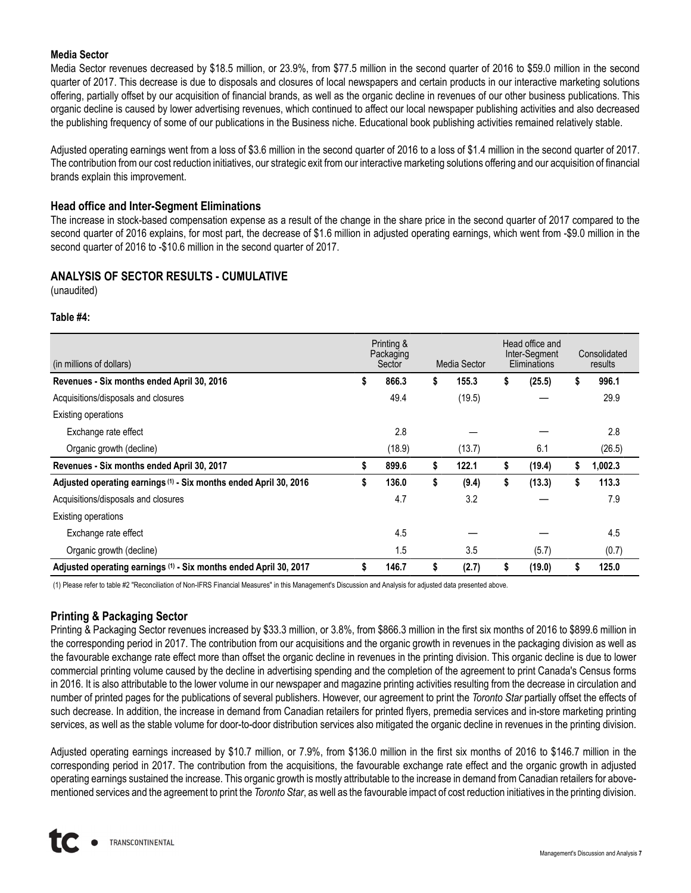### **Media Sector**

Media Sector revenues decreased by \$18.5 million, or 23.9%, from \$77.5 million in the second quarter of 2016 to \$59.0 million in the second quarter of 2017. This decrease is due to disposals and closures of local newspapers and certain products in our interactive marketing solutions offering, partially offset by our acquisition of financial brands, as well as the organic decline in revenues of our other business publications. This organic decline is caused by lower advertising revenues, which continued to affect our local newspaper publishing activities and also decreased the publishing frequency of some of our publications in the Business niche. Educational book publishing activities remained relatively stable.

Adjusted operating earnings went from a loss of \$3.6 million in the second quarter of 2016 to a loss of \$1.4 million in the second quarter of 2017. The contribution from our cost reduction initiatives, our strategic exit from our interactive marketing solutions offering and our acquisition of financial brands explain this improvement.

### **Head office and Inter-Segment Eliminations**

The increase in stock-based compensation expense as a result of the change in the share price in the second quarter of 2017 compared to the second quarter of 2016 explains, for most part, the decrease of \$1.6 million in adjusted operating earnings, which went from -\$9.0 million in the second quarter of 2016 to -\$10.6 million in the second quarter of 2017.

# **ANALYSIS OF SECTOR RESULTS - CUMULATIVE**

(unaudited)

#### **Table #4:**

| (in millions of dollars)                                          | Printing &<br>Packaging<br>Media Sector<br>Sector |        |    |        | Head office and<br>Inter-Segment<br>Eliminations |    | Consolidated<br>results |
|-------------------------------------------------------------------|---------------------------------------------------|--------|----|--------|--------------------------------------------------|----|-------------------------|
| Revenues - Six months ended April 30, 2016                        | \$                                                | 866.3  | \$ | 155.3  | \$<br>(25.5)                                     | \$ | 996.1                   |
| Acquisitions/disposals and closures                               |                                                   | 49.4   |    | (19.5) |                                                  |    | 29.9                    |
| <b>Existing operations</b>                                        |                                                   |        |    |        |                                                  |    |                         |
| Exchange rate effect                                              |                                                   | 2.8    |    |        |                                                  |    | 2.8                     |
| Organic growth (decline)                                          |                                                   | (18.9) |    | (13.7) | 6.1                                              |    | (26.5)                  |
| Revenues - Six months ended April 30, 2017                        | \$                                                | 899.6  | \$ | 122.1  | \$<br>(19.4)                                     | S  | 1,002.3                 |
| Adjusted operating earnings (1) - Six months ended April 30, 2016 | \$                                                | 136.0  | \$ | (9.4)  | \$<br>(13.3)                                     | \$ | 113.3                   |
| Acquisitions/disposals and closures                               |                                                   | 4.7    |    | 3.2    |                                                  |    | 7.9                     |
| <b>Existing operations</b>                                        |                                                   |        |    |        |                                                  |    |                         |
| Exchange rate effect                                              |                                                   | 4.5    |    |        |                                                  |    | 4.5                     |
| Organic growth (decline)                                          |                                                   | 1.5    |    | 3.5    | (5.7)                                            |    | (0.7)                   |
| Adjusted operating earnings (1) - Six months ended April 30, 2017 | S                                                 | 146.7  | \$ | (2.7)  | \$<br>(19.0)                                     | S  | 125.0                   |

(1) Please refer to table #2 "Reconciliation of Non-IFRS Financial Measures" in this Management's Discussion and Analysis for adjusted data presented above.

## **Printing & Packaging Sector**

Printing & Packaging Sector revenues increased by \$33.3 million, or 3.8%, from \$866.3 million in the first six months of 2016 to \$899.6 million in the corresponding period in 2017. The contribution from our acquisitions and the organic growth in revenues in the packaging division as well as the favourable exchange rate effect more than offset the organic decline in revenues in the printing division. This organic decline is due to lower commercial printing volume caused by the decline in advertising spending and the completion of the agreement to print Canada's Census forms in 2016. It is also attributable to the lower volume in our newspaper and magazine printing activities resulting from the decrease in circulation and number of printed pages for the publications of several publishers. However, our agreement to print the *Toronto Star* partially offset the effects of such decrease. In addition, the increase in demand from Canadian retailers for printed flyers, premedia services and in-store marketing printing services, as well as the stable volume for door-to-door distribution services also mitigated the organic decline in revenues in the printing division.

Adjusted operating earnings increased by \$10.7 million, or 7.9%, from \$136.0 million in the first six months of 2016 to \$146.7 million in the corresponding period in 2017. The contribution from the acquisitions, the favourable exchange rate effect and the organic growth in adjusted operating earnings sustained the increase. This organic growth is mostly attributable to the increase in demand from Canadian retailers for abovementioned services and the agreement to print the *Toronto Star*, as well as the favourable impact of cost reduction initiatives in the printing division.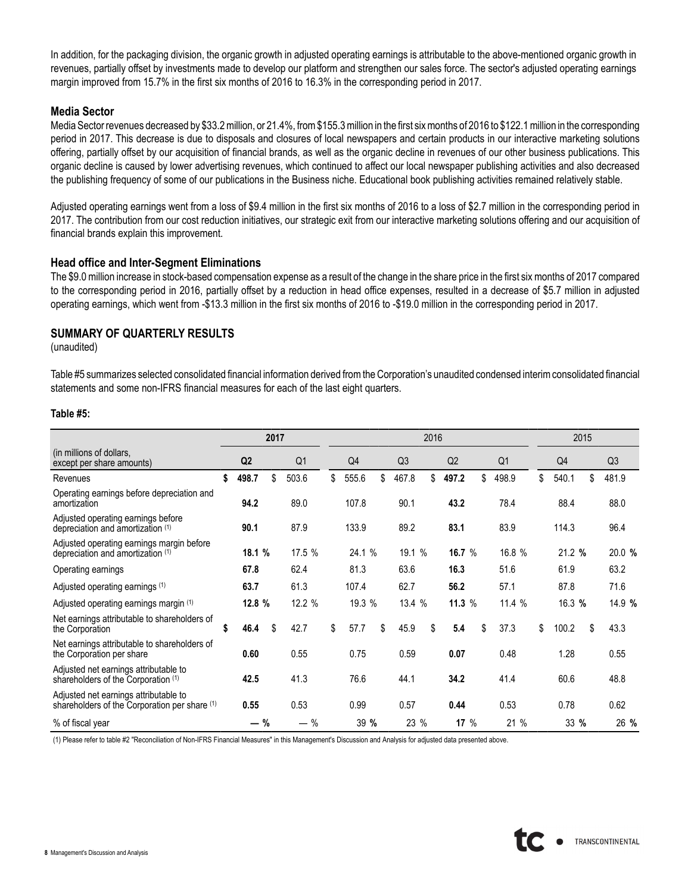In addition, for the packaging division, the organic growth in adjusted operating earnings is attributable to the above-mentioned organic growth in revenues, partially offset by investments made to develop our platform and strengthen our sales force. The sector's adjusted operating earnings margin improved from 15.7% in the first six months of 2016 to 16.3% in the corresponding period in 2017.

#### **Media Sector**

Media Sector revenues decreased by \$33.2 million, or 21.4%, from \$155.3 million in the first six months of 2016 to \$122.1 million in the corresponding period in 2017. This decrease is due to disposals and closures of local newspapers and certain products in our interactive marketing solutions offering, partially offset by our acquisition of financial brands, as well as the organic decline in revenues of our other business publications. This organic decline is caused by lower advertising revenues, which continued to affect our local newspaper publishing activities and also decreased the publishing frequency of some of our publications in the Business niche. Educational book publishing activities remained relatively stable.

Adjusted operating earnings went from a loss of \$9.4 million in the first six months of 2016 to a loss of \$2.7 million in the corresponding period in 2017. The contribution from our cost reduction initiatives, our strategic exit from our interactive marketing solutions offering and our acquisition of financial brands explain this improvement.

#### **Head office and Inter-Segment Eliminations**

The \$9.0 million increase in stock-based compensation expense as a result of the change in the share price in the first six months of 2017 compared to the corresponding period in 2016, partially offset by a reduction in head office expenses, resulted in a decrease of \$5.7 million in adjusted operating earnings, which went from -\$13.3 million in the first six months of 2016 to -\$19.0 million in the corresponding period in 2017.

#### **SUMMARY OF QUARTERLY RESULTS**

(unaudited)

Table #5 summarizes selected consolidated financial information derived from the Corporation's unaudited condensed interim consolidated financial statements and some non-IFRS financial measures for each of the last eight quarters.

#### **Table #5:**

|                                                                                        |                | 2017 |                |                |                | 2016 |                |                |             | 2015 |                |
|----------------------------------------------------------------------------------------|----------------|------|----------------|----------------|----------------|------|----------------|----------------|-------------|------|----------------|
| (in millions of dollars,<br>except per share amounts)                                  | Q <sub>2</sub> |      | Q <sub>1</sub> | Q <sub>4</sub> | Q <sub>3</sub> |      | Q <sub>2</sub> | Q <sub>1</sub> | Q4          |      | Q <sub>3</sub> |
| Revenues                                                                               | \$<br>498.7    | \$   | 503.6          | \$<br>555.6    | \$<br>467.8    | \$   | 497.2          | \$<br>498.9    | \$<br>540.1 | \$   | 481.9          |
| Operating earnings before depreciation and<br>amortization                             | 94.2           |      | 89.0           | 107.8          | 90.1           |      | 43.2           | 78.4           | 88.4        |      | 88.0           |
| Adjusted operating earnings before<br>depreciation and amortization (1)                | 90.1           |      | 87.9           | 133.9          | 89.2           |      | 83.1           | 83.9           | 114.3       |      | 96.4           |
| Adjusted operating earnings margin before<br>depreciation and amortization (1)         | 18.1 %         |      | 17.5 %         | 24.1 %         | 19.1%          |      | 16.7 $%$       | 16.8 %         | 21.2 %      |      | 20.0 %         |
| Operating earnings                                                                     | 67.8           |      | 62.4           | 81.3           | 63.6           |      | 16.3           | 51.6           | 61.9        |      | 63.2           |
| Adjusted operating earnings (1)                                                        | 63.7           |      | 61.3           | 107.4          | 62.7           |      | 56.2           | 57.1           | 87.8        |      | 71.6           |
| Adjusted operating earnings margin (1)                                                 | 12.8 %         |      | 12.2 %         | 19.3 %         | 13.4 %         |      | 11.3 $%$       | 11.4%          | 16.3 %      |      | 14.9 %         |
| Net earnings attributable to shareholders of<br>the Corporation                        | \$<br>46.4     | \$   | 42.7           | \$<br>57.7     | \$<br>45.9     | \$   | 5.4            | \$<br>37.3     | \$<br>100.2 | \$   | 43.3           |
| Net earnings attributable to shareholders of<br>the Corporation per share              | 0.60           |      | 0.55           | 0.75           | 0.59           |      | 0.07           | 0.48           | 1.28        |      | 0.55           |
| Adjusted net earnings attributable to<br>shareholders of the Corporation (1)           | 42.5           |      | 41.3           | 76.6           | 44.1           |      | 34.2           | 41.4           | 60.6        |      | 48.8           |
| Adjusted net earnings attributable to<br>shareholders of the Corporation per share (1) | 0.55           |      | 0.53           | 0.99           | 0.57           |      | 0.44           | 0.53           | 0.78        |      | 0.62           |
| % of fiscal year                                                                       | $-$ %          |      | $-$ %          | 39 %           | 23 %           |      | 17 $%$         | 21 %           | 33 %        |      | 26 %           |

(1) Please refer to table #2 "Reconciliation of Non-IFRS Financial Measures" in this Management's Discussion and Analysis for adjusted data presented above.

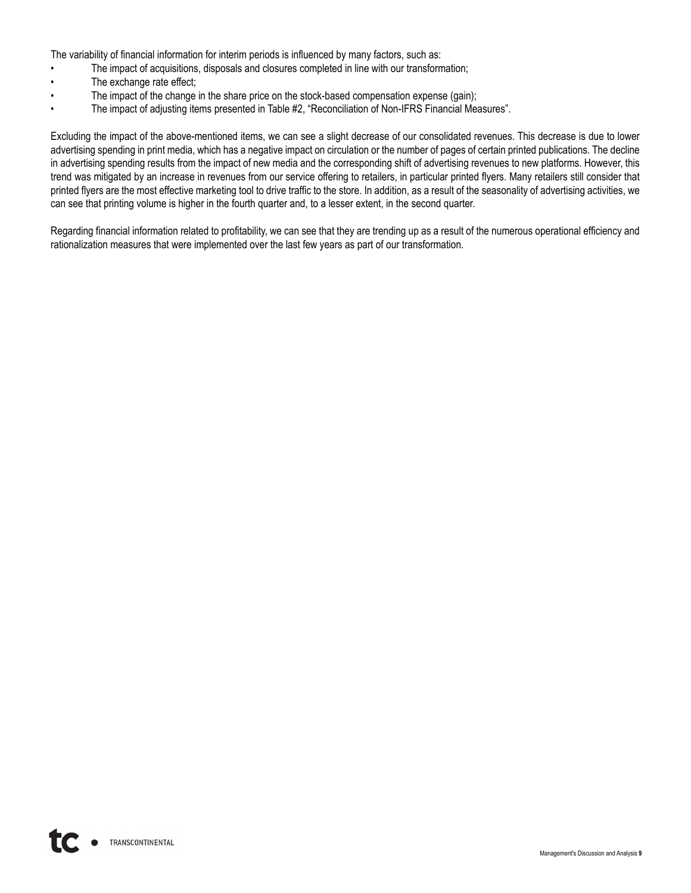The variability of financial information for interim periods is influenced by many factors, such as:

- The impact of acquisitions, disposals and closures completed in line with our transformation;
- The exchange rate effect;
- The impact of the change in the share price on the stock-based compensation expense (gain);
- The impact of adjusting items presented in Table #2, "Reconciliation of Non-IFRS Financial Measures".

Excluding the impact of the above-mentioned items, we can see a slight decrease of our consolidated revenues. This decrease is due to lower advertising spending in print media, which has a negative impact on circulation or the number of pages of certain printed publications. The decline in advertising spending results from the impact of new media and the corresponding shift of advertising revenues to new platforms. However, this trend was mitigated by an increase in revenues from our service offering to retailers, in particular printed flyers. Many retailers still consider that printed flyers are the most effective marketing tool to drive traffic to the store. In addition, as a result of the seasonality of advertising activities, we can see that printing volume is higher in the fourth quarter and, to a lesser extent, in the second quarter.

Regarding financial information related to profitability, we can see that they are trending up as a result of the numerous operational efficiency and rationalization measures that were implemented over the last few years as part of our transformation.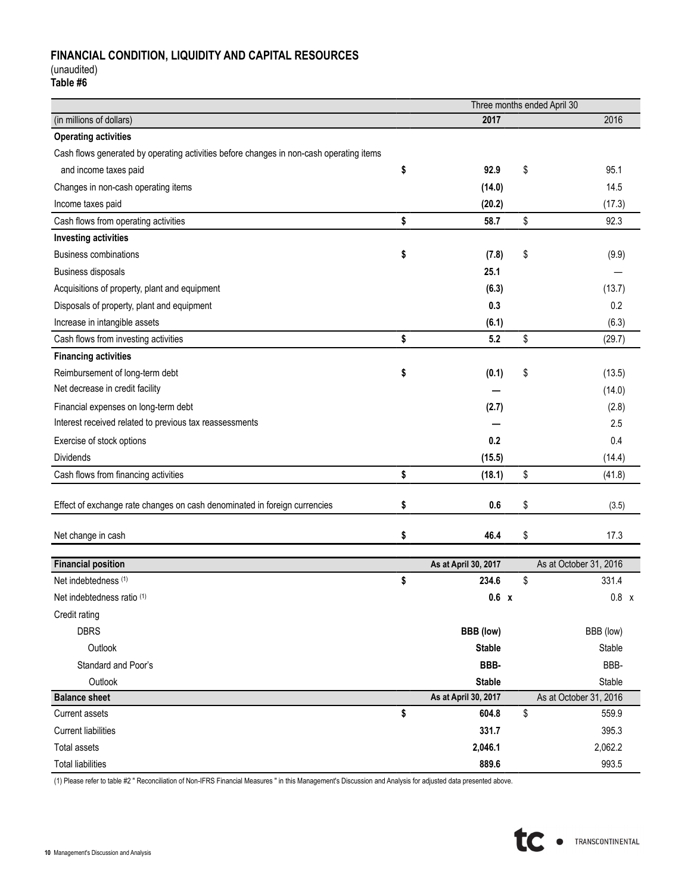# **FINANCIAL CONDITION, LIQUIDITY AND CAPITAL RESOURCES**

(unaudited)

**Table #6**

|                                                                                         |                      | Three months ended April 30 |
|-----------------------------------------------------------------------------------------|----------------------|-----------------------------|
| (in millions of dollars)                                                                | 2017                 | 2016                        |
| <b>Operating activities</b>                                                             |                      |                             |
| Cash flows generated by operating activities before changes in non-cash operating items |                      |                             |
| and income taxes paid                                                                   | \$<br>92.9           | \$<br>95.1                  |
| Changes in non-cash operating items                                                     | (14.0)               | 14.5                        |
| Income taxes paid                                                                       | (20.2)               | (17.3)                      |
| Cash flows from operating activities                                                    | \$<br>58.7           | \$<br>92.3                  |
| <b>Investing activities</b>                                                             |                      |                             |
| <b>Business combinations</b>                                                            | \$<br>(7.8)          | \$<br>(9.9)                 |
| Business disposals                                                                      | 25.1                 |                             |
| Acquisitions of property, plant and equipment                                           | (6.3)                | (13.7)                      |
| Disposals of property, plant and equipment                                              | 0.3                  | 0.2                         |
| Increase in intangible assets                                                           | (6.1)                | (6.3)                       |
| Cash flows from investing activities                                                    | \$<br>5.2            | \$<br>(29.7)                |
| <b>Financing activities</b>                                                             |                      |                             |
| Reimbursement of long-term debt                                                         | \$<br>(0.1)          | \$<br>(13.5)                |
| Net decrease in credit facility                                                         |                      | (14.0)                      |
| Financial expenses on long-term debt                                                    | (2.7)                | (2.8)                       |
| Interest received related to previous tax reassessments                                 |                      | 2.5                         |
| Exercise of stock options                                                               | 0.2                  | 0.4                         |
| <b>Dividends</b>                                                                        | (15.5)               | (14.4)                      |
| Cash flows from financing activities                                                    | \$<br>(18.1)         | \$<br>(41.8)                |
|                                                                                         |                      |                             |
| Effect of exchange rate changes on cash denominated in foreign currencies               | \$<br>0.6            | \$<br>(3.5)                 |
|                                                                                         | \$<br>46.4           | 17.3                        |
| Net change in cash                                                                      |                      | \$                          |
| <b>Financial position</b>                                                               | As at April 30, 2017 | As at October 31, 2016      |
| Net indebtedness (1)                                                                    | \$<br>234.6          | \$<br>331.4                 |
| Net indebtedness ratio (1)                                                              | 0.6 x                | $0.8 \times$                |
| Credit rating                                                                           |                      |                             |
| <b>DBRS</b>                                                                             | BBB (low)            | BBB (low)                   |
| Outlook                                                                                 | <b>Stable</b>        | Stable                      |
| Standard and Poor's                                                                     | BBB-                 | BBB-                        |
| Outlook                                                                                 | <b>Stable</b>        | Stable                      |
| <b>Balance sheet</b>                                                                    | As at April 30, 2017 | As at October 31, 2016      |
| Current assets                                                                          | \$<br>604.8          | \$<br>559.9                 |
| <b>Current liabilities</b>                                                              | 331.7                | 395.3                       |
| Total assets                                                                            | 2,046.1              | 2,062.2                     |
| <b>Total liabilities</b>                                                                | 889.6                | 993.5                       |

(1) Please refer to table #2 " Reconciliation of Non-IFRS Financial Measures " in this Management's Discussion and Analysis for adjusted data presented above.

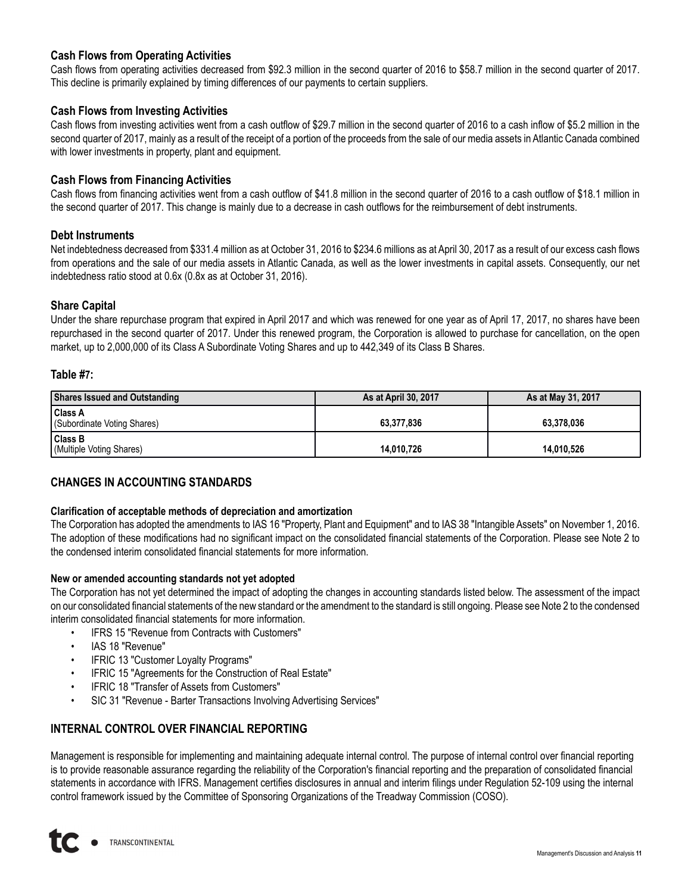## **Cash Flows from Operating Activities**

Cash flows from operating activities decreased from \$92.3 million in the second quarter of 2016 to \$58.7 million in the second quarter of 2017. This decline is primarily explained by timing differences of our payments to certain suppliers.

### **Cash Flows from Investing Activities**

Cash flows from investing activities went from a cash outflow of \$29.7 million in the second quarter of 2016 to a cash inflow of \$5.2 million in the second quarter of 2017, mainly as a result of the receipt of a portion of the proceeds from the sale of our media assets in Atlantic Canada combined with lower investments in property, plant and equipment.

### **Cash Flows from Financing Activities**

Cash flows from financing activities went from a cash outflow of \$41.8 million in the second quarter of 2016 to a cash outflow of \$18.1 million in the second quarter of 2017. This change is mainly due to a decrease in cash outflows for the reimbursement of debt instruments.

#### **Debt Instruments**

Net indebtedness decreased from \$331.4 million as at October 31, 2016 to \$234.6 millions as at April 30, 2017 as a result of our excess cash flows from operations and the sale of our media assets in Atlantic Canada, as well as the lower investments in capital assets. Consequently, our net indebtedness ratio stood at 0.6x (0.8x as at October 31, 2016).

#### **Share Capital**

Under the share repurchase program that expired in April 2017 and which was renewed for one year as of April 17, 2017, no shares have been repurchased in the second quarter of 2017. Under this renewed program, the Corporation is allowed to purchase for cancellation, on the open market, up to 2,000,000 of its Class A Subordinate Voting Shares and up to 442,349 of its Class B Shares.

#### **Table #7:**

| Shares Issued and Outstanding                 | As at April 30, 2017 | As at May 31, 2017 |
|-----------------------------------------------|----------------------|--------------------|
| <b>Class A</b><br>(Subordinate Voting Shares) | 63.377.836           | 63.378.036         |
| <b>Class B</b><br>(Multiple Voting Shares)    | 14.010.726           | 14.010.526         |

## **CHANGES IN ACCOUNTING STANDARDS**

#### **Clarification of acceptable methods of depreciation and amortization**

The Corporation has adopted the amendments to IAS 16 "Property, Plant and Equipment" and to IAS 38 "Intangible Assets" on November 1, 2016. The adoption of these modifications had no significant impact on the consolidated financial statements of the Corporation. Please see Note 2 to the condensed interim consolidated financial statements for more information.

#### **New or amended accounting standards not yet adopted**

The Corporation has not yet determined the impact of adopting the changes in accounting standards listed below. The assessment of the impact on our consolidated financial statements of the new standard or the amendment to the standard is still ongoing. Please see Note 2 to the condensed interim consolidated financial statements for more information.

- IFRS 15 "Revenue from Contracts with Customers"
- IAS 18 "Revenue"
- IFRIC 13 "Customer Loyalty Programs"
- IFRIC 15 "Agreements for the Construction of Real Estate"
- IFRIC 18 "Transfer of Assets from Customers"
- SIC 31 "Revenue Barter Transactions Involving Advertising Services"

## **INTERNAL CONTROL OVER FINANCIAL REPORTING**

Management is responsible for implementing and maintaining adequate internal control. The purpose of internal control over financial reporting is to provide reasonable assurance regarding the reliability of the Corporation's financial reporting and the preparation of consolidated financial statements in accordance with IFRS. Management certifies disclosures in annual and interim filings under Regulation 52-109 using the internal control framework issued by the Committee of Sponsoring Organizations of the Treadway Commission (COSO).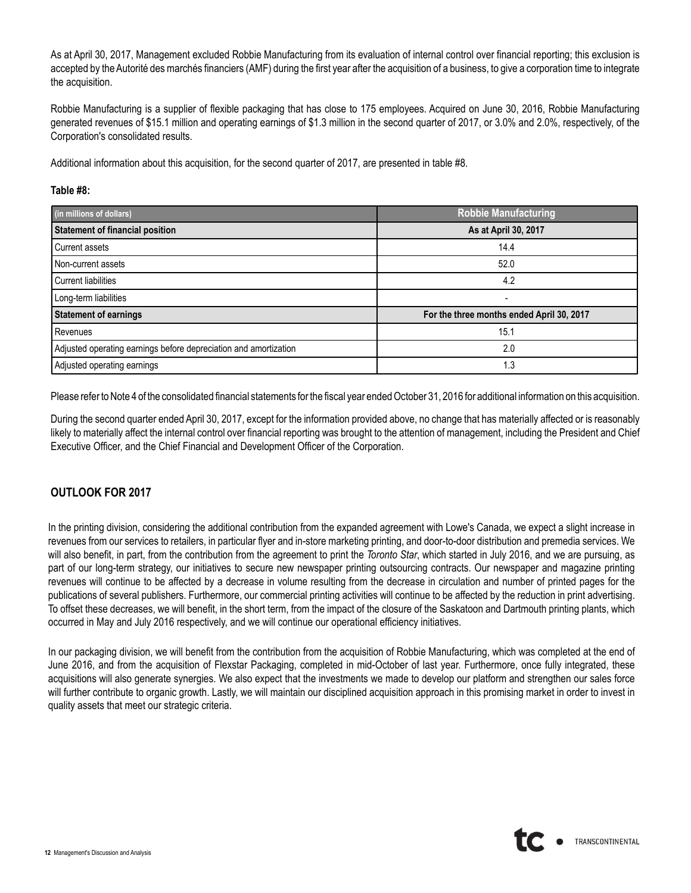As at April 30, 2017, Management excluded Robbie Manufacturing from its evaluation of internal control over financial reporting; this exclusion is accepted by the Autorité des marchés financiers (AMF) during the first year after the acquisition of a business, to give a corporation time to integrate the acquisition.

Robbie Manufacturing is a supplier of flexible packaging that has close to 175 employees. Acquired on June 30, 2016, Robbie Manufacturing generated revenues of \$15.1 million and operating earnings of \$1.3 million in the second quarter of 2017, or 3.0% and 2.0%, respectively, of the Corporation's consolidated results.

Additional information about this acquisition, for the second quarter of 2017, are presented in table #8.

#### **Table #8:**

| (in millions of dollars)                                         | <b>Robbie Manufacturing</b>               |
|------------------------------------------------------------------|-------------------------------------------|
| <b>Statement of financial position</b>                           | As at April 30, 2017                      |
| Current assets                                                   | 14.4                                      |
| Non-current assets                                               | 52.0                                      |
| <b>Current liabilities</b>                                       | 4.2                                       |
| Long-term liabilities                                            |                                           |
| <b>Statement of earnings</b>                                     | For the three months ended April 30, 2017 |
| Revenues                                                         | 15.1                                      |
| Adjusted operating earnings before depreciation and amortization | 2.0                                       |
| Adjusted operating earnings                                      | 1.3                                       |

Please refer to Note 4 of the consolidated financial statements for the fiscal year ended October 31, 2016 for additional information on this acquisition.

During the second quarter ended April 30, 2017, except for the information provided above, no change that has materially affected or is reasonably likely to materially affect the internal control over financial reporting was brought to the attention of management, including the President and Chief Executive Officer, and the Chief Financial and Development Officer of the Corporation.

## **OUTLOOK FOR 2017**

In the printing division, considering the additional contribution from the expanded agreement with Lowe's Canada, we expect a slight increase in revenues from our services to retailers, in particular flyer and in-store marketing printing, and door-to-door distribution and premedia services. We will also benefit, in part, from the contribution from the agreement to print the *Toronto Star*, which started in July 2016, and we are pursuing, as part of our long-term strategy, our initiatives to secure new newspaper printing outsourcing contracts. Our newspaper and magazine printing revenues will continue to be affected by a decrease in volume resulting from the decrease in circulation and number of printed pages for the publications of several publishers. Furthermore, our commercial printing activities will continue to be affected by the reduction in print advertising. To offset these decreases, we will benefit, in the short term, from the impact of the closure of the Saskatoon and Dartmouth printing plants, which occurred in May and July 2016 respectively, and we will continue our operational efficiency initiatives.

In our packaging division, we will benefit from the contribution from the acquisition of Robbie Manufacturing, which was completed at the end of June 2016, and from the acquisition of Flexstar Packaging, completed in mid-October of last year. Furthermore, once fully integrated, these acquisitions will also generate synergies. We also expect that the investments we made to develop our platform and strengthen our sales force will further contribute to organic growth. Lastly, we will maintain our disciplined acquisition approach in this promising market in order to invest in quality assets that meet our strategic criteria.

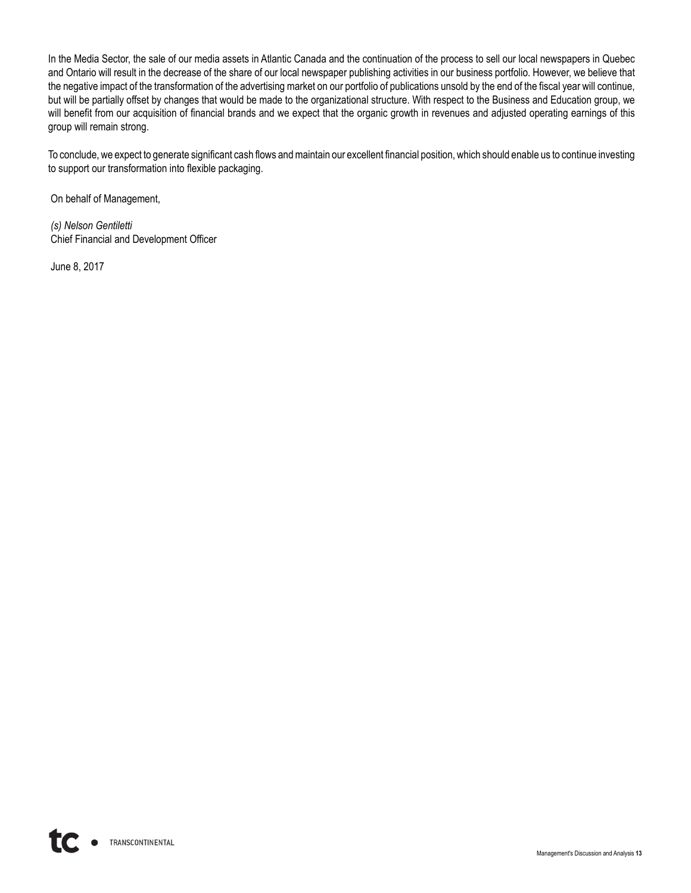In the Media Sector, the sale of our media assets in Atlantic Canada and the continuation of the process to sell our local newspapers in Quebec and Ontario will result in the decrease of the share of our local newspaper publishing activities in our business portfolio. However, we believe that the negative impact of the transformation of the advertising market on our portfolio of publications unsold by the end of the fiscal year will continue, but will be partially offset by changes that would be made to the organizational structure. With respect to the Business and Education group, we will benefit from our acquisition of financial brands and we expect that the organic growth in revenues and adjusted operating earnings of this group will remain strong.

To conclude, we expect to generate significant cash flows and maintain our excellent financial position, which should enable us to continue investing to support our transformation into flexible packaging.

On behalf of Management,

*(s) Nelson Gentiletti* Chief Financial and Development Officer

June 8, 2017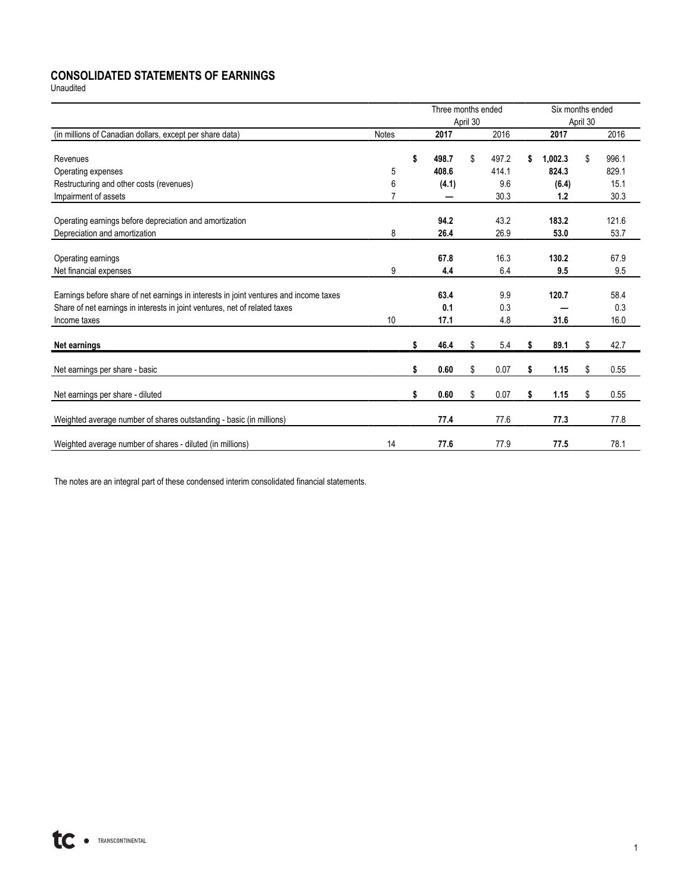# **CONSOLIDATED STATEMENTS OF EARNINGS**

Unaudited

|                                                                                                                                                                                     |              | Three months ended  | April 30 |                    |    | Six months ended | April 30 |                     |
|-------------------------------------------------------------------------------------------------------------------------------------------------------------------------------------|--------------|---------------------|----------|--------------------|----|------------------|----------|---------------------|
| (in millions of Canadian dollars, except per share data)                                                                                                                            | <b>Notes</b> | 2017                |          | $\overline{20}$ 16 |    | 2017             |          | 2016                |
| Revenues                                                                                                                                                                            |              | \$<br>498.7         | \$       | 497.2<br>414.1     | \$ | 1,002.3<br>824.3 | \$       | 996.1               |
| Operating expenses                                                                                                                                                                  | 5            | 408.6               |          | 9.6                |    |                  |          | 829.1<br>15.1       |
| Restructuring and other costs (revenues)                                                                                                                                            | 6            | (4.1)               |          | 30.3               |    | (6.4)<br>1.2     |          | 30.3                |
| Impairment of assets                                                                                                                                                                |              |                     |          |                    |    |                  |          |                     |
| Operating earnings before depreciation and amortization                                                                                                                             |              | 94.2                |          | 43.2               |    | 183.2            |          | 121.6               |
| Depreciation and amortization                                                                                                                                                       | 8            | 26.4                |          | 26.9               |    | 53.0             |          | 53.7                |
| Operating earnings<br>Net financial expenses                                                                                                                                        | 9            | 67.8<br>4.4         |          | 16.3<br>6.4        |    | 130.2<br>9.5     |          | 67.9<br>9.5         |
| Earnings before share of net earnings in interests in joint ventures and income taxes<br>Share of net earnings in interests in joint ventures, net of related taxes<br>Income taxes | 10           | 63.4<br>0.1<br>17.1 |          | 9.9<br>0.3<br>4.8  |    | 120.7<br>31.6    |          | 58.4<br>0.3<br>16.0 |
| Net earnings                                                                                                                                                                        |              | \$<br>46.4          | \$       | 5.4                | S  | 89.1             | \$       | 42.7                |
| Net earnings per share - basic                                                                                                                                                      |              | \$<br>0.60          | \$       | 0.07               | \$ | 1.15             | \$       | 0.55                |
| Net earnings per share - diluted                                                                                                                                                    |              | \$<br>0.60          | \$       | 0.07               | \$ | 1.15             | \$       | 0.55                |
| Weighted average number of shares outstanding - basic (in millions)                                                                                                                 |              | 77.4                |          | 77.6               |    | 77.3             |          | 77.8                |
| Weighted average number of shares - diluted (in millions)                                                                                                                           | 14           | 77.6                |          | 77.9               |    | 77.5             |          | 78.1                |

The notes are an integral part of these condensed interim consolidated financial statements.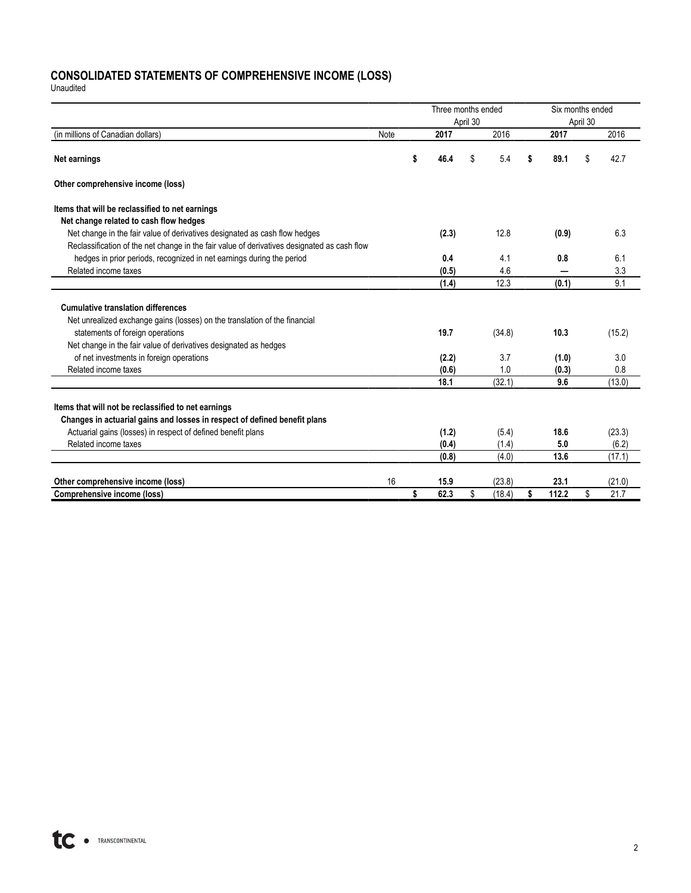## **CONSOLIDATED STATEMENTS OF COMPREHENSIVE INCOME (LOSS)**

Unaudited

|                                                                                             |      | Three months ended |          | Six months ended |             |          |        |  |
|---------------------------------------------------------------------------------------------|------|--------------------|----------|------------------|-------------|----------|--------|--|
|                                                                                             |      |                    | April 30 |                  |             | April 30 |        |  |
| (in millions of Canadian dollars)                                                           | Note | 2017               |          | 2016             | 2017        |          | 2016   |  |
| Net earnings                                                                                |      | \$<br>46.4         | \$       | 5.4              | \$<br>89.1  | \$       | 42.7   |  |
| Other comprehensive income (loss)                                                           |      |                    |          |                  |             |          |        |  |
| Items that will be reclassified to net earnings                                             |      |                    |          |                  |             |          |        |  |
| Net change related to cash flow hedges                                                      |      |                    |          |                  |             |          |        |  |
| Net change in the fair value of derivatives designated as cash flow hedges                  |      | (2.3)              |          | 12.8             | (0.9)       |          | 6.3    |  |
| Reclassification of the net change in the fair value of derivatives designated as cash flow |      |                    |          |                  |             |          |        |  |
| hedges in prior periods, recognized in net earnings during the period                       |      | 0.4                |          | 4.1              | 0.8         |          | 6.1    |  |
| Related income taxes                                                                        |      | (0.5)              |          | 4.6              |             |          | 3.3    |  |
|                                                                                             |      | (1.4)              |          | 12.3             | (0.1)       |          | 9.1    |  |
| <b>Cumulative translation differences</b>                                                   |      |                    |          |                  |             |          |        |  |
| Net unrealized exchange gains (losses) on the translation of the financial                  |      |                    |          |                  |             |          |        |  |
| statements of foreign operations                                                            |      | 19.7               |          | (34.8)           | 10.3        |          | (15.2) |  |
| Net change in the fair value of derivatives designated as hedges                            |      |                    |          |                  |             |          |        |  |
| of net investments in foreign operations                                                    |      | (2.2)              |          | 3.7              | (1.0)       |          | 3.0    |  |
| Related income taxes                                                                        |      | (0.6)              |          | 1.0              | (0.3)       |          | 0.8    |  |
|                                                                                             |      | 18.1               |          | (32.1)           | 9.6         |          | (13.0) |  |
| Items that will not be reclassified to net earnings                                         |      |                    |          |                  |             |          |        |  |
| Changes in actuarial gains and losses in respect of defined benefit plans                   |      |                    |          |                  |             |          |        |  |
| Actuarial gains (losses) in respect of defined benefit plans                                |      | (1.2)              |          | (5.4)            | 18.6        |          | (23.3) |  |
| Related income taxes                                                                        |      | (0.4)              |          | (1.4)            | 5.0         |          | (6.2)  |  |
|                                                                                             |      | (0.8)              |          | (4.0)            | 13.6        |          | (17.1) |  |
|                                                                                             |      |                    |          |                  |             |          |        |  |
| Other comprehensive income (loss)                                                           | 16   | 15.9               |          | (23.8)           | 23.1        |          | (21.0) |  |
| <b>Comprehensive income (loss)</b>                                                          |      | \$<br>62.3         | \$       | (18.4)           | \$<br>112.2 | \$       | 21.7   |  |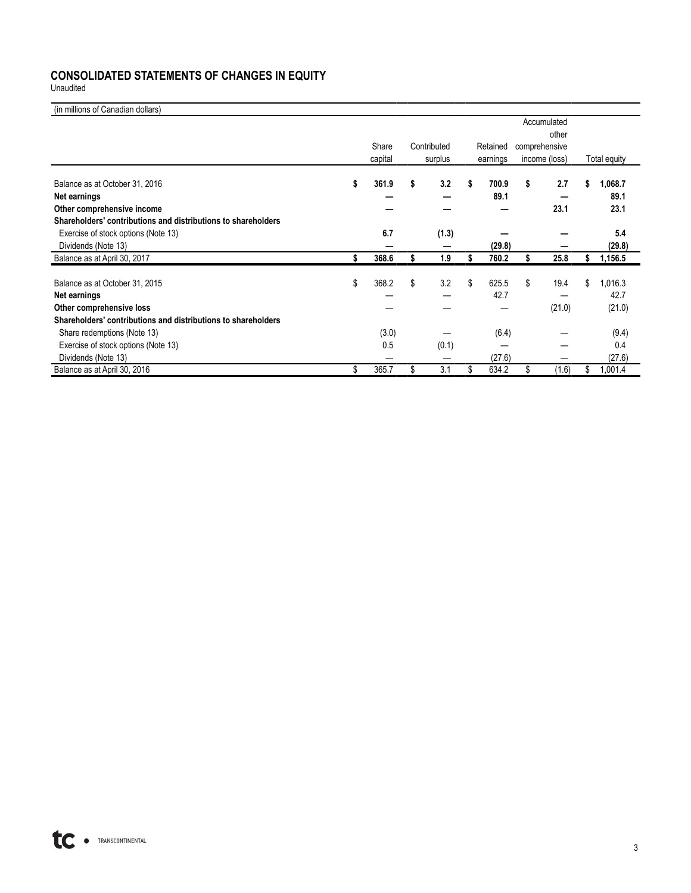# **CONSOLIDATED STATEMENTS OF CHANGES IN EQUITY**

Unaudited

| (in millions of Canadian dollars)                             |             |             |    |          |    |               |    |              |
|---------------------------------------------------------------|-------------|-------------|----|----------|----|---------------|----|--------------|
|                                                               |             |             |    |          |    | Accumulated   |    |              |
|                                                               |             |             |    |          |    | other         |    |              |
|                                                               | Share       | Contributed |    | Retained |    | comprehensive |    |              |
|                                                               | capital     | surplus     |    | earnings |    | income (loss) |    | Total equity |
| Balance as at October 31, 2016                                | \$<br>361.9 | \$<br>3.2   | s  | 700.9    | \$ | 2.7           | \$ | 1,068.7      |
| Net earnings                                                  |             |             |    | 89.1     |    |               |    | 89.1         |
| Other comprehensive income                                    |             |             |    |          |    | 23.1          |    | 23.1         |
| Shareholders' contributions and distributions to shareholders |             |             |    |          |    |               |    |              |
| Exercise of stock options (Note 13)                           | 6.7         | (1.3)       |    |          |    |               |    | 5.4          |
| Dividends (Note 13)                                           |             |             |    | (29.8)   |    |               |    | (29.8)       |
| Balance as at April 30, 2017                                  | \$<br>368.6 | 1.9         |    | 760.2    | S  | 25.8          | S  | 1,156.5      |
| Balance as at October 31, 2015                                | \$<br>368.2 | \$<br>3.2   | \$ | 625.5    | \$ | 19.4          | \$ | 1,016.3      |
| Net earnings                                                  |             |             |    | 42.7     |    |               |    | 42.7         |
| Other comprehensive loss                                      |             |             |    |          |    | (21.0)        |    | (21.0)       |
| Shareholders' contributions and distributions to shareholders |             |             |    |          |    |               |    |              |
| Share redemptions (Note 13)                                   | (3.0)       |             |    | (6.4)    |    |               |    | (9.4)        |
| Exercise of stock options (Note 13)                           | 0.5         | (0.1)       |    |          |    |               |    | 0.4          |
| Dividends (Note 13)                                           |             |             |    | (27.6)   |    |               |    | (27.6)       |
| Balance as at April 30, 2016                                  | \$<br>365.7 | \$<br>3.1   | \$ | 634.2    | \$ | (1.6)         | \$ | 1,001.4      |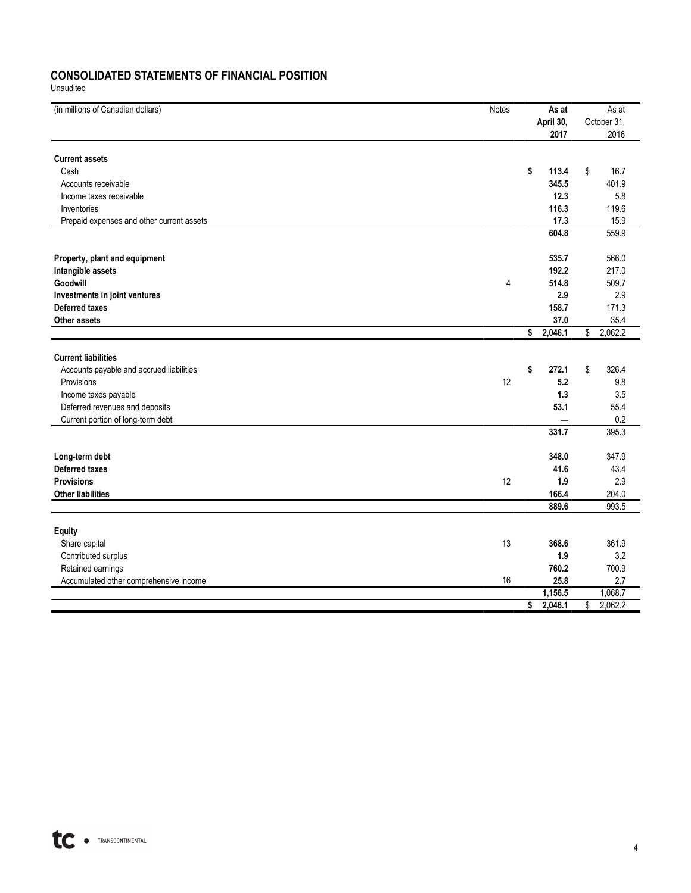## **CONSOLIDATED STATEMENTS OF FINANCIAL POSITION**

Unaudited

| (in millions of Canadian dollars)         | Notes | As at         | As at         |
|-------------------------------------------|-------|---------------|---------------|
|                                           |       | April 30,     | October 31,   |
|                                           |       | 2017          | 2016          |
| <b>Current assets</b>                     |       |               |               |
| Cash                                      |       | \$<br>113.4   | \$<br>16.7    |
| Accounts receivable                       |       | 345.5         | 401.9         |
|                                           |       | 12.3          | 5.8           |
| Income taxes receivable                   |       | 116.3         | 119.6         |
| Inventories                               |       |               |               |
| Prepaid expenses and other current assets |       | 17.3          | 15.9          |
|                                           |       | 604.8         | 559.9         |
| Property, plant and equipment             |       | 535.7         | 566.0         |
| Intangible assets                         |       | 192.2         | 217.0         |
| Goodwill                                  | 4     | 514.8         | 509.7         |
| Investments in joint ventures             |       | 2.9           | 2.9           |
| <b>Deferred taxes</b>                     |       | 158.7         | 171.3         |
| Other assets                              |       | 37.0          | 35.4          |
|                                           |       | \$2,046.1     | \$<br>2,062.2 |
|                                           |       |               |               |
| <b>Current liabilities</b>                |       |               |               |
| Accounts payable and accrued liabilities  |       | \$<br>272.1   | \$<br>326.4   |
| Provisions                                | 12    | 5.2           | 9.8           |
| Income taxes payable                      |       | 1.3           | 3.5           |
| Deferred revenues and deposits            |       | 53.1          | 55.4          |
| Current portion of long-term debt         |       |               | 0.2           |
|                                           |       | 331.7         | 395.3         |
| Long-term debt                            |       | 348.0         | 347.9         |
| <b>Deferred taxes</b>                     |       | 41.6          | 43.4          |
| <b>Provisions</b>                         | 12    | 1.9           | 2.9           |
| <b>Other liabilities</b>                  |       | 166.4         | 204.0         |
|                                           |       | 889.6         | 993.5         |
|                                           |       |               |               |
| <b>Equity</b>                             |       |               |               |
| Share capital                             | 13    | 368.6         | 361.9         |
| Contributed surplus                       |       | 1.9           | 3.2           |
| Retained earnings                         |       | 760.2         | 700.9         |
| Accumulated other comprehensive income    | 16    | 25.8          | 2.7           |
|                                           |       | 1,156.5       | 1,068.7       |
|                                           |       | \$<br>2,046.1 | 2,062.2<br>\$ |
|                                           |       |               |               |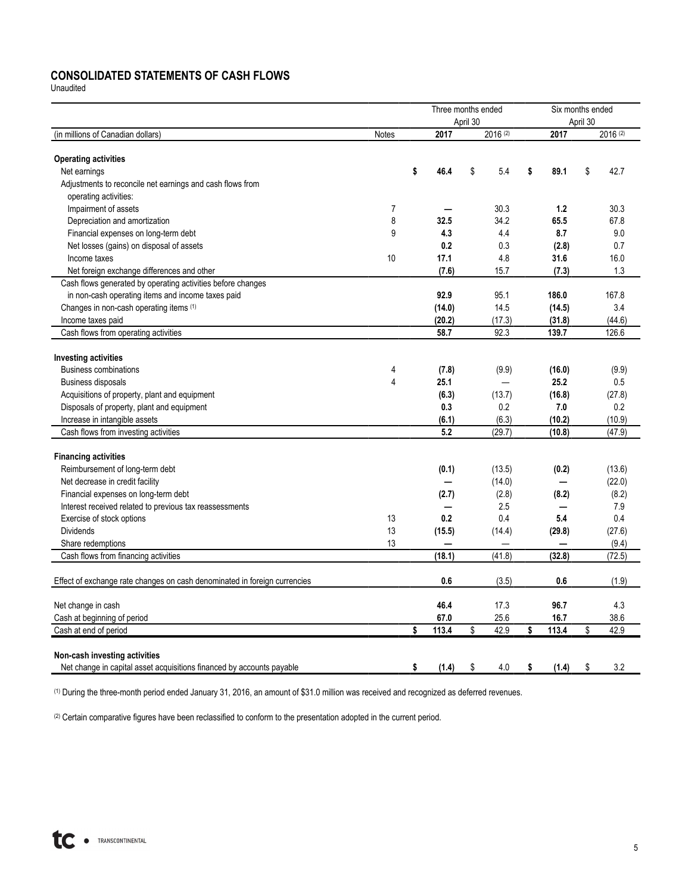# **CONSOLIDATED STATEMENTS OF CASH FLOWS**

Unaudited

|                                                                           |       | Three months ended |          |          | Six months ended |    |          |  |  |  |
|---------------------------------------------------------------------------|-------|--------------------|----------|----------|------------------|----|----------|--|--|--|
|                                                                           |       |                    | April 30 |          | April 30         |    |          |  |  |  |
| (in millions of Canadian dollars)                                         | Notes | 2017               |          | 2016 (2) | 2017             |    | 2016 (2) |  |  |  |
| <b>Operating activities</b>                                               |       |                    |          |          |                  |    |          |  |  |  |
| Net earnings                                                              |       | \$<br>46.4         | \$       | 5.4      | \$<br>89.1       | \$ | 42.7     |  |  |  |
| Adjustments to reconcile net earnings and cash flows from                 |       |                    |          |          |                  |    |          |  |  |  |
| operating activities:                                                     |       |                    |          |          |                  |    |          |  |  |  |
| Impairment of assets                                                      | 7     |                    |          | 30.3     | 1.2              |    | 30.3     |  |  |  |
| Depreciation and amortization                                             | 8     | 32.5               |          | 34.2     | 65.5             |    | 67.8     |  |  |  |
| Financial expenses on long-term debt                                      | 9     | 4.3                |          | 4.4      | 8.7              |    | 9.0      |  |  |  |
| Net losses (gains) on disposal of assets                                  |       | 0.2                |          | 0.3      | (2.8)            |    | 0.7      |  |  |  |
| Income taxes                                                              | 10    | 17.1               |          | 4.8      | 31.6             |    | 16.0     |  |  |  |
| Net foreign exchange differences and other                                |       | (7.6)              |          | 15.7     | (7.3)            |    | 1.3      |  |  |  |
| Cash flows generated by operating activities before changes               |       |                    |          |          |                  |    |          |  |  |  |
| in non-cash operating items and income taxes paid                         |       | 92.9               |          | 95.1     | 186.0            |    | 167.8    |  |  |  |
| Changes in non-cash operating items (1)                                   |       | (14.0)             |          | 14.5     | (14.5)           |    | 3.4      |  |  |  |
| Income taxes paid                                                         |       | (20.2)             |          | (17.3)   | (31.8)           |    | (44.6)   |  |  |  |
| Cash flows from operating activities                                      |       | 58.7               |          | 92.3     | 139.7            |    | 126.6    |  |  |  |
|                                                                           |       |                    |          |          |                  |    |          |  |  |  |
| <b>Investing activities</b>                                               |       |                    |          |          |                  |    |          |  |  |  |
| <b>Business combinations</b>                                              | 4     | (7.8)              |          | (9.9)    | (16.0)           |    | (9.9)    |  |  |  |
| Business disposals                                                        | 4     | 25.1               |          |          | 25.2             |    | 0.5      |  |  |  |
| Acquisitions of property, plant and equipment                             |       | (6.3)              |          | (13.7)   | (16.8)           |    | (27.8)   |  |  |  |
| Disposals of property, plant and equipment                                |       | 0.3                |          | 0.2      | 7.0              |    | 0.2      |  |  |  |
| Increase in intangible assets                                             |       | (6.1)              |          | (6.3)    | (10.2)           |    | (10.9)   |  |  |  |
| Cash flows from investing activities                                      |       | 5.2                |          | (29.7)   | (10.8)           |    | (47.9)   |  |  |  |
| <b>Financing activities</b>                                               |       |                    |          |          |                  |    |          |  |  |  |
| Reimbursement of long-term debt                                           |       | (0.1)              |          | (13.5)   | (0.2)            |    | (13.6)   |  |  |  |
| Net decrease in credit facility                                           |       |                    |          | (14.0)   |                  |    | (22.0)   |  |  |  |
| Financial expenses on long-term debt                                      |       | (2.7)              |          | (2.8)    | (8.2)            |    | (8.2)    |  |  |  |
| Interest received related to previous tax reassessments                   |       |                    |          | 2.5      |                  |    | 7.9      |  |  |  |
| Exercise of stock options                                                 | 13    | 0.2                |          | 0.4      | 5.4              |    | 0.4      |  |  |  |
| <b>Dividends</b>                                                          | 13    | (15.5)             |          | (14.4)   | (29.8)           |    | (27.6)   |  |  |  |
| Share redemptions                                                         | 13    |                    |          |          |                  |    | (9.4)    |  |  |  |
| Cash flows from financing activities                                      |       | (18.1)             |          | (41.8)   | (32.8)           |    | (72.5)   |  |  |  |
|                                                                           |       |                    |          |          |                  |    |          |  |  |  |
| Effect of exchange rate changes on cash denominated in foreign currencies |       | 0.6                |          | (3.5)    | 0.6              |    | (1.9)    |  |  |  |
| Net change in cash                                                        |       | 46.4               |          | 17.3     | 96.7             |    | 4.3      |  |  |  |
| Cash at beginning of period                                               |       | 67.0               |          | 25.6     | 16.7             |    | 38.6     |  |  |  |
| Cash at end of period                                                     |       | \$<br>113.4        | \$       | 42.9     | \$<br>113.4      | \$ | 42.9     |  |  |  |
|                                                                           |       |                    |          |          |                  |    |          |  |  |  |
| Non-cash investing activities                                             |       |                    |          |          |                  |    |          |  |  |  |
| Net change in capital asset acquisitions financed by accounts payable     |       | \$<br>(1.4)        | \$       | 4.0      | \$<br>(1.4)      | \$ | 3.2      |  |  |  |

(1) During the three-month period ended January 31, 2016, an amount of \$31.0 million was received and recognized as deferred revenues.

(2) Certain comparative figures have been reclassified to conform to the presentation adopted in the current period.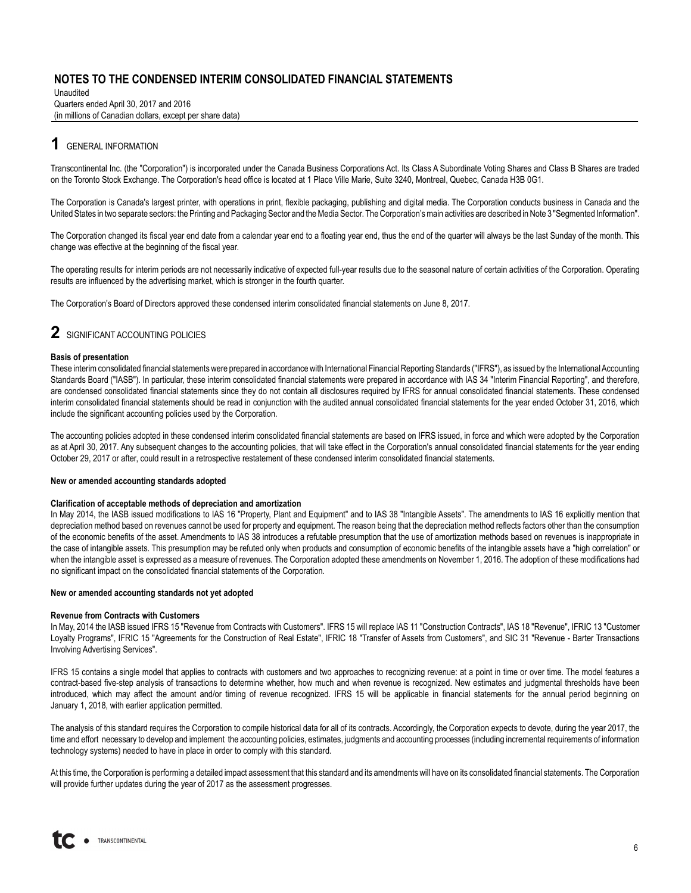Unaudited Quarters ended April 30, 2017 and 2016 (in millions of Canadian dollars, except per share data)

# **1** GENERAL INFORMATION

Transcontinental Inc. (the "Corporation") is incorporated under the Canada Business Corporations Act. Its Class A Subordinate Voting Shares and Class B Shares are traded on the Toronto Stock Exchange. The Corporation's head office is located at 1 Place Ville Marie, Suite 3240, Montreal, Quebec, Canada H3B 0G1.

The Corporation is Canada's largest printer, with operations in print, flexible packaging, publishing and digital media. The Corporation conducts business in Canada and the United States in two separate sectors: the Printing and Packaging Sector and the Media Sector. The Corporation's main activities are described in Note 3 "Segmented Information".

The Corporation changed its fiscal year end date from a calendar year end to a floating year end, thus the end of the quarter will always be the last Sunday of the month. This change was effective at the beginning of the fiscal year.

The operating results for interim periods are not necessarily indicative of expected full-year results due to the seasonal nature of certain activities of the Corporation. Operating results are influenced by the advertising market, which is stronger in the fourth quarter.

The Corporation's Board of Directors approved these condensed interim consolidated financial statements on June 8, 2017.

## **2** SIGNIFICANT ACCOUNTING POLICIES

#### **Basis of presentation**

These interim consolidated financial statements were prepared in accordance with International Financial Reporting Standards ("IFRS"), as issued by the International Accounting Standards Board ("IASB"). In particular, these interim consolidated financial statements were prepared in accordance with IAS 34 "Interim Financial Reporting", and therefore, are condensed consolidated financial statements since they do not contain all disclosures required by IFRS for annual consolidated financial statements. These condensed interim consolidated financial statements should be read in conjunction with the audited annual consolidated financial statements for the year ended October 31, 2016, which include the significant accounting policies used by the Corporation.

The accounting policies adopted in these condensed interim consolidated financial statements are based on IFRS issued, in force and which were adopted by the Corporation as at April 30, 2017. Any subsequent changes to the accounting policies, that will take effect in the Corporation's annual consolidated financial statements for the year ending October 29, 2017 or after, could result in a retrospective restatement of these condensed interim consolidated financial statements.

#### **New or amended accounting standards adopted**

#### **Clarification of acceptable methods of depreciation and amortization**

In May 2014, the IASB issued modifications to IAS 16 "Property, Plant and Equipment" and to IAS 38 "Intangible Assets". The amendments to IAS 16 explicitly mention that depreciation method based on revenues cannot be used for property and equipment. The reason being that the depreciation method reflects factors other than the consumption of the economic benefits of the asset. Amendments to IAS 38 introduces a refutable presumption that the use of amortization methods based on revenues is inappropriate in the case of intangible assets. This presumption may be refuted only when products and consumption of economic benefits of the intangible assets have a "high correlation" or when the intangible asset is expressed as a measure of revenues. The Corporation adopted these amendments on November 1, 2016. The adoption of these modifications had no significant impact on the consolidated financial statements of the Corporation.

#### **New or amended accounting standards not yet adopted**

#### **Revenue from Contracts with Customers**

In May, 2014 the IASB issued IFRS 15 "Revenue from Contracts with Customers". IFRS 15 will replace IAS 11 "Construction Contracts", IAS 18 "Revenue", IFRIC 13 "Customer Loyalty Programs", IFRIC 15 "Agreements for the Construction of Real Estate", IFRIC 18 "Transfer of Assets from Customers", and SIC 31 "Revenue - Barter Transactions Involving Advertising Services".

IFRS 15 contains a single model that applies to contracts with customers and two approaches to recognizing revenue: at a point in time or over time. The model features a contract-based five-step analysis of transactions to determine whether, how much and when revenue is recognized. New estimates and judgmental thresholds have been introduced, which may affect the amount and/or timing of revenue recognized. IFRS 15 will be applicable in financial statements for the annual period beginning on January 1, 2018, with earlier application permitted.

The analysis of this standard requires the Corporation to compile historical data for all of its contracts. Accordingly, the Corporation expects to devote, during the year 2017, the time and effort necessary to develop and implement the accounting policies, estimates, judgments and accounting processes (including incremental requirements of information technology systems) needed to have in place in order to comply with this standard.

At this time, the Corporation is performing a detailed impact assessment that this standard and its amendments will have on its consolidated financial statements. The Corporation will provide further updates during the year of 2017 as the assessment progresses.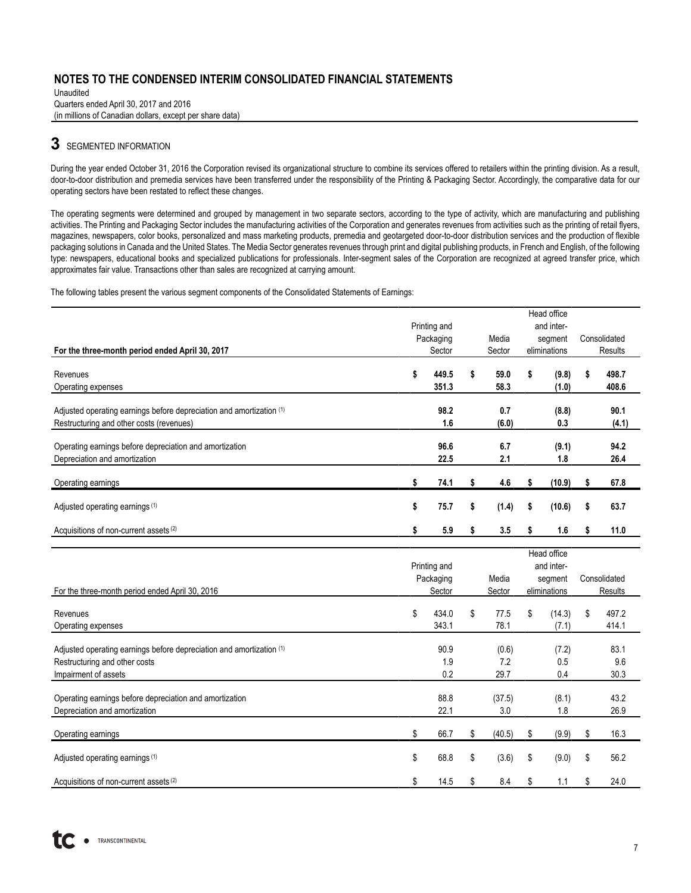Unaudited Quarters ended April 30, 2017 and 2016 (in millions of Canadian dollars, except per share data)

# **3** SEGMENTED INFORMATION

During the year ended October 31, 2016 the Corporation revised its organizational structure to combine its services offered to retailers within the printing division. As a result, door-to-door distribution and premedia services have been transferred under the responsibility of the Printing & Packaging Sector. Accordingly, the comparative data for our operating sectors have been restated to reflect these changes.

The operating segments were determined and grouped by management in two separate sectors, according to the type of activity, which are manufacturing and publishing activities. The Printing and Packaging Sector includes the manufacturing activities of the Corporation and generates revenues from activities such as the printing of retail flyers, magazines, newspapers, color books, personalized and mass marketing products, premedia and geotargeted door-to-door distribution services and the production of flexible packaging solutions in Canada and the United States. The Media Sector generates revenues through print and digital publishing products, in French and English, of the following type: newspapers, educational books and specialized publications for professionals. Inter-segment sales of the Corporation are recognized at agreed transfer price, which approximates fair value. Transactions other than sales are recognized at carrying amount.

The following tables present the various segment components of the Consolidated Statements of Earnings:

|                                                                      |    |              |    |        |              | Head office  |    |              |  |  |
|----------------------------------------------------------------------|----|--------------|----|--------|--------------|--------------|----|--------------|--|--|
|                                                                      |    | Printing and |    |        |              | and inter-   |    |              |  |  |
|                                                                      |    | Packaging    |    | Media  |              | segment      |    | Consolidated |  |  |
| For the three-month period ended April 30, 2017                      |    | Sector       |    | Sector | eliminations |              |    | Results      |  |  |
| Revenues                                                             |    | 449.5        | \$ | 59.0   | \$           |              |    | 498.7        |  |  |
|                                                                      | \$ | 351.3        |    |        |              | (9.8)        | \$ |              |  |  |
| Operating expenses                                                   |    |              |    | 58.3   |              | (1.0)        |    | 408.6        |  |  |
| Adjusted operating earnings before depreciation and amortization (1) |    | 98.2         |    | 0.7    |              | (8.8)        |    | 90.1         |  |  |
| Restructuring and other costs (revenues)                             |    | 1.6          |    | (6.0)  |              | 0.3          |    | (4.1)        |  |  |
|                                                                      |    |              |    |        |              |              |    |              |  |  |
| Operating earnings before depreciation and amortization              |    | 96.6         |    | 6.7    |              | (9.1)        |    | 94.2         |  |  |
| Depreciation and amortization                                        |    | 22.5         |    | 2.1    |              | 1.8          |    | 26.4         |  |  |
|                                                                      |    |              |    |        |              |              |    |              |  |  |
| Operating earnings                                                   | \$ | 74.1         | \$ | 4.6    | \$           | (10.9)       | \$ | 67.8         |  |  |
|                                                                      |    |              |    |        |              |              |    |              |  |  |
| Adjusted operating earnings (1)                                      | \$ | 75.7         | \$ | (1.4)  | \$           | (10.6)       | \$ | 63.7         |  |  |
| Acquisitions of non-current assets (2)                               | \$ | 5.9          | \$ | 3.5    | \$           | 1.6          | \$ | 11.0         |  |  |
|                                                                      |    |              |    |        |              |              |    |              |  |  |
|                                                                      |    |              |    |        |              | Head office  |    |              |  |  |
|                                                                      |    | Printing and |    |        |              | and inter-   |    |              |  |  |
|                                                                      |    | Packaging    |    | Media  |              | segment      |    | Consolidated |  |  |
| For the three-month period ended April 30, 2016                      |    | Sector       |    | Sector |              | eliminations |    | Results      |  |  |
|                                                                      |    |              |    |        |              |              |    |              |  |  |
| Revenues                                                             | \$ | 434.0        | \$ | 77.5   | \$           | (14.3)       | \$ | 497.2        |  |  |
| Operating expenses                                                   |    | 343.1        |    | 78.1   |              | (7.1)        |    | 414.1        |  |  |
|                                                                      |    |              |    |        |              |              |    |              |  |  |
| Adjusted operating earnings before depreciation and amortization (1) |    | 90.9         |    | (0.6)  |              | (7.2)        |    | 83.1         |  |  |
| Restructuring and other costs                                        |    | 1.9          |    | 7.2    |              | 0.5          |    | 9.6          |  |  |
| Impairment of assets                                                 |    | 0.2          |    | 29.7   |              | 0.4          |    | 30.3         |  |  |
|                                                                      |    |              |    |        |              |              |    |              |  |  |
| Operating earnings before depreciation and amortization              |    | 88.8         |    | (37.5) |              | (8.1)        |    | 43.2         |  |  |
| Depreciation and amortization                                        |    | 22.1         |    | 3.0    |              | 1.8          |    | 26.9         |  |  |
|                                                                      |    |              |    |        |              |              |    |              |  |  |
| Operating earnings                                                   | \$ | 66.7         | \$ | (40.5) | \$           | (9.9)        | \$ | 16.3         |  |  |
| Adjusted operating earnings (1)                                      | \$ | 68.8         | \$ | (3.6)  | \$           | (9.0)        | \$ | 56.2         |  |  |
|                                                                      |    |              |    |        |              |              |    |              |  |  |
| Acquisitions of non-current assets (2)                               | \$ | 14.5         | \$ | 8.4    | \$           | 1.1          | \$ | 24.0         |  |  |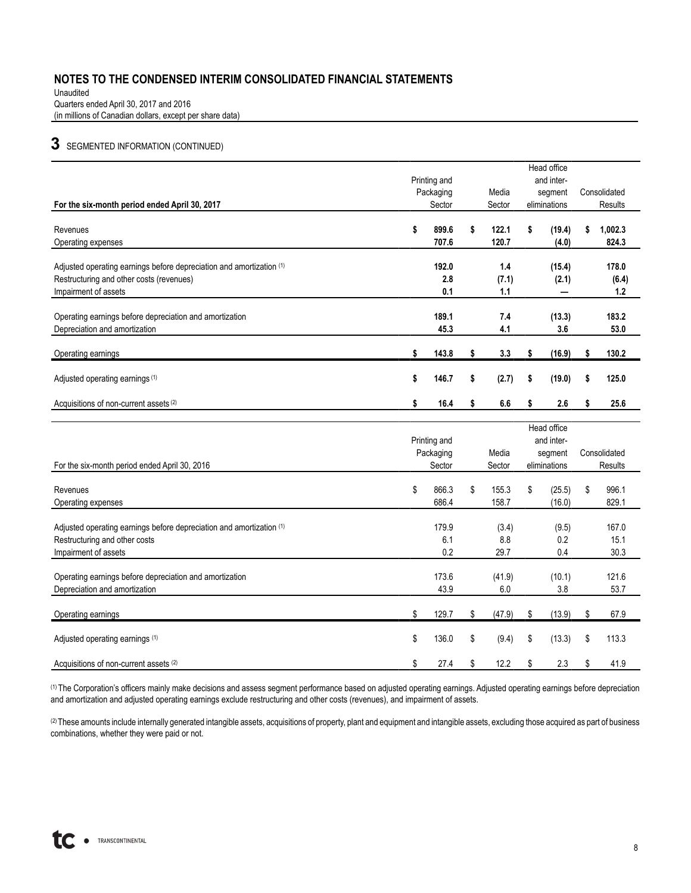Unaudited Quarters ended April 30, 2017 and 2016 (in millions of Canadian dollars, except per share data)

# **3** SEGMENTED INFORMATION (CONTINUED)

|                                                                      | Head office  |              |    |        |            |              |    |                |
|----------------------------------------------------------------------|--------------|--------------|----|--------|------------|--------------|----|----------------|
|                                                                      | Printing and |              |    |        | and inter- |              |    |                |
|                                                                      | Packaging    |              |    | Media  |            | segment      |    | Consolidated   |
| For the six-month period ended April 30, 2017                        |              | Sector       |    | Sector |            | eliminations |    | <b>Results</b> |
| Revenues                                                             | \$           | 899.6        | \$ | 122.1  | \$         | (19.4)       | \$ | 1,002.3        |
| Operating expenses                                                   |              | 707.6        |    | 120.7  |            | (4.0)        |    | 824.3          |
|                                                                      |              |              |    |        |            |              |    |                |
| Adjusted operating earnings before depreciation and amortization (1) |              | 192.0        |    | 1.4    |            | (15.4)       |    | 178.0          |
| Restructuring and other costs (revenues)                             |              | 2.8          |    | (7.1)  |            | (2.1)        |    | (6.4)          |
| Impairment of assets                                                 |              | 0.1          |    | 1.1    |            | —            |    | $1.2$          |
|                                                                      |              |              |    |        |            |              |    |                |
| Operating earnings before depreciation and amortization              |              | 189.1        |    | 7.4    |            | (13.3)       |    | 183.2          |
| Depreciation and amortization                                        |              | 45.3         |    | 4.1    |            | 3.6          |    | 53.0           |
|                                                                      |              |              |    |        |            |              |    |                |
| Operating earnings                                                   | \$           | 143.8        | \$ | 3.3    | \$         | (16.9)       | \$ | 130.2          |
|                                                                      |              |              |    |        |            |              |    |                |
| Adjusted operating earnings (1)                                      | \$           | 146.7        | \$ | (2.7)  | \$         | (19.0)       | \$ | 125.0          |
| Acquisitions of non-current assets (2)                               | \$           | 16.4         | \$ | 6.6    | \$         | 2.6          | \$ | 25.6           |
|                                                                      |              |              |    |        |            |              |    |                |
|                                                                      |              |              |    |        |            | Head office  |    |                |
|                                                                      |              | Printing and |    |        |            | and inter-   |    |                |
|                                                                      |              | Packaging    |    | Media  |            | segment      |    | Consolidated   |
| For the six-month period ended April 30, 2016                        |              | Sector       |    | Sector |            | eliminations |    | Results        |
|                                                                      |              |              |    |        |            |              |    |                |
| Revenues                                                             | \$           | 866.3        | \$ | 155.3  | \$         | (25.5)       | \$ | 996.1          |
| Operating expenses                                                   |              | 686.4        |    | 158.7  |            | (16.0)       |    | 829.1          |
|                                                                      |              |              |    |        |            |              |    |                |
| Adjusted operating earnings before depreciation and amortization (1) |              | 179.9        |    | (3.4)  |            | (9.5)        |    | 167.0          |
| Restructuring and other costs                                        |              | 6.1          |    | 8.8    |            | 0.2          |    | 15.1           |
| Impairment of assets                                                 |              | 0.2          |    | 29.7   |            | 0.4          |    | 30.3           |
|                                                                      |              |              |    |        |            |              |    |                |
| Operating earnings before depreciation and amortization              |              | 173.6        |    | (41.9) |            | (10.1)       |    | 121.6          |
| Depreciation and amortization                                        |              | 43.9         |    | 6.0    |            | 3.8          |    | 53.7           |
| Operating earnings                                                   | \$           | 129.7        | \$ | (47.9) | \$         | (13.9)       | \$ | 67.9           |
|                                                                      |              |              |    |        |            |              |    |                |
| Adjusted operating earnings (1)                                      | \$           | 136.0        | \$ | (9.4)  | \$         | (13.3)       | \$ | 113.3          |
|                                                                      |              |              |    |        |            |              |    |                |
| Acquisitions of non-current assets (2)                               | \$           | 27.4         | \$ | 12.2   | \$         | 2.3          | \$ | 41.9           |

(1) The Corporation's officers mainly make decisions and assess segment performance based on adjusted operating earnings. Adjusted operating earnings before depreciation and amortization and adjusted operating earnings exclude restructuring and other costs (revenues), and impairment of assets.

(2) These amounts include internally generated intangible assets, acquisitions of property, plant and equipment and intangible assets, excluding those acquired as part of business combinations, whether they were paid or not.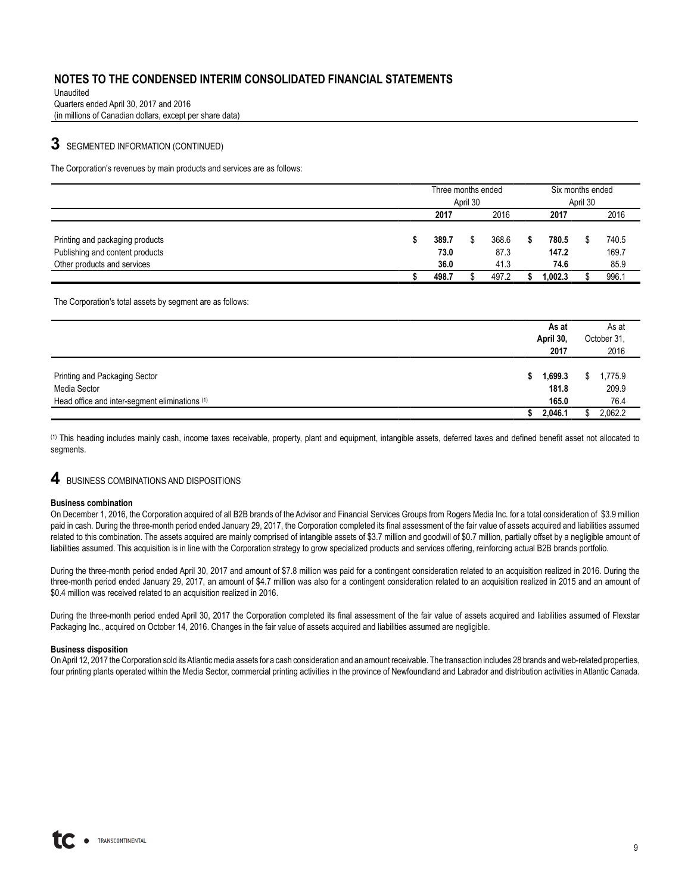Unaudited Quarters ended April 30, 2017 and 2016 (in millions of Canadian dollars, except per share data)

# **3** SEGMENTED INFORMATION (CONTINUED)

The Corporation's revenues by main products and services are as follows:

|                                 |          | Three months ended |  |       |         | Six months ended |  |       |  |
|---------------------------------|----------|--------------------|--|-------|---------|------------------|--|-------|--|
|                                 | April 30 |                    |  |       |         | April 30         |  |       |  |
|                                 |          | 2016<br>2017       |  |       | 2017    |                  |  | 2016  |  |
|                                 |          |                    |  |       |         |                  |  |       |  |
| Printing and packaging products |          | 389.7              |  | 368.6 |         | 780.5            |  | 740.5 |  |
| Publishing and content products |          | 73.0               |  | 87.3  |         | 147.2            |  | 169.7 |  |
| Other products and services     |          | 36.0               |  | 41.3  |         | 74.6             |  | 85.9  |  |
|                                 |          | 498.7              |  | 497.2 | 1,002.3 |                  |  | 996.1 |  |

The Corporation's total assets by segment are as follows:

|                                                |    | As at<br>April 30,<br>2017 |    | As at<br>October 31,<br>2016 |
|------------------------------------------------|----|----------------------------|----|------------------------------|
| Printing and Packaging Sector<br>Media Sector  | S. | 1,699.3<br>181.8           | Ъ. | 1,775.9<br>209.9             |
| Head office and inter-segment eliminations (1) |    | 165.0                      |    | 76.4                         |
|                                                |    | 2,046.1                    |    | 2,062.2                      |

(1) This heading includes mainly cash, income taxes receivable, property, plant and equipment, intangible assets, deferred taxes and defined benefit asset not allocated to seaments.

# **4** BUSINESS COMBINATIONS AND DISPOSITIONS

#### **Business combination**

On December 1, 2016, the Corporation acquired of all B2B brands of the Advisor and Financial Services Groups from Rogers Media Inc. for a total consideration of \$3.9 million paid in cash. During the three-month period ended January 29, 2017, the Corporation completed its final assessment of the fair value of assets acquired and liabilities assumed related to this combination. The assets acquired are mainly comprised of intangible assets of \$3.7 million and goodwill of \$0.7 million, partially offset by a negligible amount of liabilities assumed. This acquisition is in line with the Corporation strategy to grow specialized products and services offering, reinforcing actual B2B brands portfolio.

During the three-month period ended April 30, 2017 and amount of \$7.8 million was paid for a contingent consideration related to an acquisition realized in 2016. During the three-month period ended January 29, 2017, an amount of \$4.7 million was also for a contingent consideration related to an acquisition realized in 2015 and an amount of \$0.4 million was received related to an acquisition realized in 2016.

During the three-month period ended April 30, 2017 the Corporation completed its final assessment of the fair value of assets acquired and liabilities assumed of Flexstar Packaging Inc., acquired on October 14, 2016. Changes in the fair value of assets acquired and liabilities assumed are negligible.

#### **Business disposition**

On April 12, 2017 the Corporation sold its Atlantic media assets for a cash consideration and an amount receivable. The transaction includes 28 brands and web-related properties, four printing plants operated within the Media Sector, commercial printing activities in the province of Newfoundland and Labrador and distribution activities in Atlantic Canada.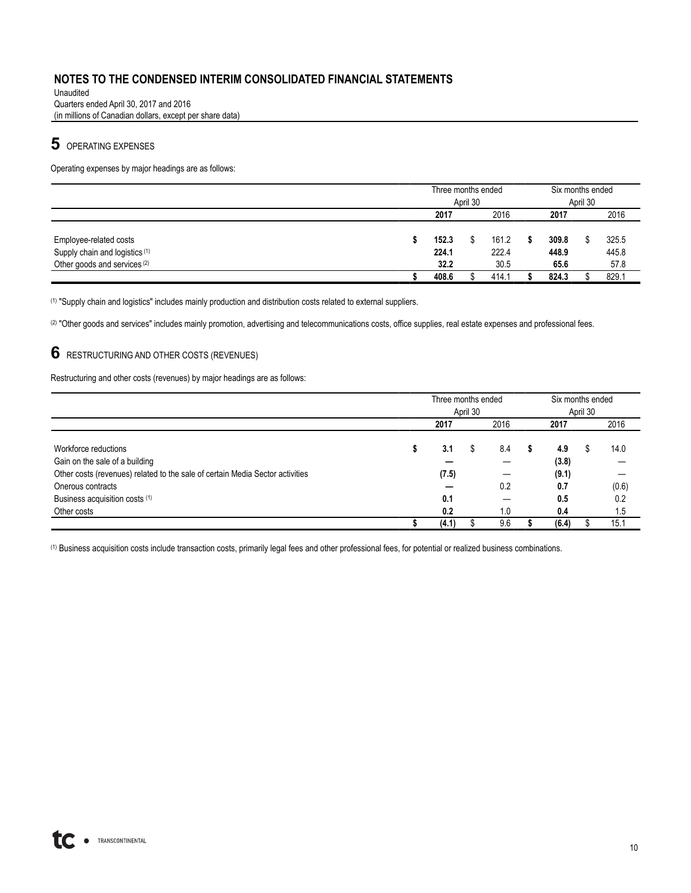Unaudited Quarters ended April 30, 2017 and 2016 (in millions of Canadian dollars, except per share data)

# **5** OPERATING EXPENSES

Operating expenses by major headings are as follows:

|                                           | Three months ended |  |       |      | Six months ended |  |       |  |  |  |
|-------------------------------------------|--------------------|--|-------|------|------------------|--|-------|--|--|--|
|                                           | April 30           |  |       |      |                  |  |       |  |  |  |
|                                           | 2016<br>2017       |  |       | 2017 |                  |  |       |  |  |  |
|                                           |                    |  |       |      |                  |  |       |  |  |  |
| Employee-related costs                    | 152.3              |  | 161.2 |      | 309.8            |  | 325.5 |  |  |  |
| Supply chain and logistics <sup>(1)</sup> | 224.1              |  | 222.4 |      | 448.9            |  | 445.8 |  |  |  |
| Other goods and services (2)              | 32.2               |  | 30.5  |      | 65.6             |  | 57.8  |  |  |  |
|                                           | 408.6              |  | 414.1 |      | 824.3            |  | 829.1 |  |  |  |

(1) "Supply chain and logistics" includes mainly production and distribution costs related to external suppliers.

(2) "Other goods and services" includes mainly promotion, advertising and telecommunications costs, office supplies, real estate expenses and professional fees.

# **6** RESTRUCTURING AND OTHER COSTS (REVENUES)

Restructuring and other costs (revenues) by major headings are as follows:

|                                                                               |   | Three months ended |          |     | Six months ended |          |  |       |  |      |
|-------------------------------------------------------------------------------|---|--------------------|----------|-----|------------------|----------|--|-------|--|------|
|                                                                               |   |                    | April 30 |     |                  | April 30 |  |       |  |      |
|                                                                               |   | 2017               |          |     | 2016             |          |  |       |  | 2016 |
|                                                                               |   |                    |          |     |                  |          |  |       |  |      |
| Workforce reductions                                                          | s | 3.1                | \$       | 8.4 |                  | 4.9      |  | 14.0  |  |      |
| Gain on the sale of a building                                                |   |                    |          |     |                  | (3.8)    |  |       |  |      |
| Other costs (revenues) related to the sale of certain Media Sector activities |   | (7.5)              |          |     |                  | (9.1)    |  |       |  |      |
| Onerous contracts                                                             |   |                    |          | 0.2 |                  | 0.7      |  | (0.6) |  |      |
| Business acquisition costs (1)                                                |   | 0.1                |          |     |                  | 0.5      |  | 0.2   |  |      |
| Other costs                                                                   |   | 0.2                |          | 1.0 |                  | 0.4      |  | 1.5   |  |      |
|                                                                               |   | (4.1)              |          | 9.6 |                  | (6.4)    |  | 15.1  |  |      |

(1) Business acquisition costs include transaction costs, primarily legal fees and other professional fees, for potential or realized business combinations.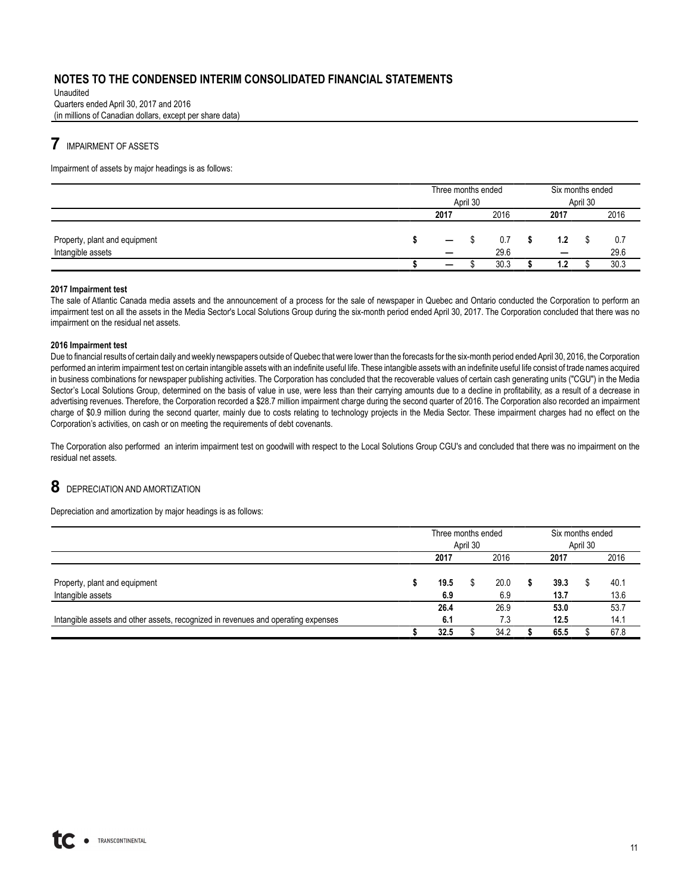Unaudited Quarters ended April 30, 2017 and 2016 (in millions of Canadian dollars, except per share data)

# **7** IMPAIRMENT OF ASSETS

Impairment of assets by major headings is as follows:

|                                                    | Three months ended                                   | April 30 |             |  | Six months ended                |  |             |
|----------------------------------------------------|------------------------------------------------------|----------|-------------|--|---------------------------------|--|-------------|
|                                                    | 2017<br>2016                                         |          |             |  | 2017                            |  | 2016        |
| Property, plant and equipment<br>Intangible assets | $\overline{\phantom{m}}$<br>$\overline{\phantom{0}}$ |          | 0.7<br>29.6 |  | 1.2<br>$\overline{\phantom{0}}$ |  | 0.7<br>29.6 |
|                                                    | $\overline{\phantom{m}}$                             |          | 30.3        |  | 1.2                             |  | 30.3        |

#### **2017 Impairment test**

The sale of Atlantic Canada media assets and the announcement of a process for the sale of newspaper in Quebec and Ontario conducted the Corporation to perform an impairment test on all the assets in the Media Sector's Local Solutions Group during the six-month period ended April 30, 2017. The Corporation concluded that there was no impairment on the residual net assets.

#### **2016 Impairment test**

Due to financial results of certain daily and weekly newspapers outside of Quebec that were lower than the forecasts for the six-month period ended April 30, 2016, the Corporation performed an interim impairment test on certain intangible assets with an indefinite useful life. These intangible assets with an indefinite useful life consist of trade names acquired in business combinations for newspaper publishing activities. The Corporation has concluded that the recoverable values of certain cash generating units ("CGU") in the Media Sector's Local Solutions Group, determined on the basis of value in use, were less than their carrying amounts due to a decline in profitability, as a result of a decrease in advertising revenues. Therefore, the Corporation recorded a \$28.7 million impairment charge during the second quarter of 2016. The Corporation also recorded an impairment charge of \$0.9 million during the second quarter, mainly due to costs relating to technology projects in the Media Sector. These impairment charges had no effect on the Corporation's activities, on cash or on meeting the requirements of debt covenants.

The Corporation also performed an interim impairment test on goodwill with respect to the Local Solutions Group CGU's and concluded that there was no impairment on the residual net assets.

# **8** DEPRECIATION AND AMORTIZATION

Depreciation and amortization by major headings is as follows:

|                                                                                   | Three months ended |          |      |      | Six months ended |      |      |  |  |
|-----------------------------------------------------------------------------------|--------------------|----------|------|------|------------------|------|------|--|--|
|                                                                                   |                    | April 30 |      |      | April 30         |      |      |  |  |
|                                                                                   | 2017               |          |      |      | 2017             |      | 2016 |  |  |
|                                                                                   |                    |          |      |      |                  |      |      |  |  |
| Property, plant and equipment                                                     | 19.5               | 20.0     |      | 39.3 |                  | 40.1 |      |  |  |
| Intangible assets                                                                 | 6.9                |          | 6.9  |      | 13.7             |      | 13.6 |  |  |
|                                                                                   | 26.4               |          | 26.9 |      | 53.0             |      | 53.7 |  |  |
| Intangible assets and other assets, recognized in revenues and operating expenses | 6.1                | 7.3      |      |      | 12.5             |      | 14.1 |  |  |
|                                                                                   | 32.5               | 34.2     |      |      | 65.5             |      | 67.8 |  |  |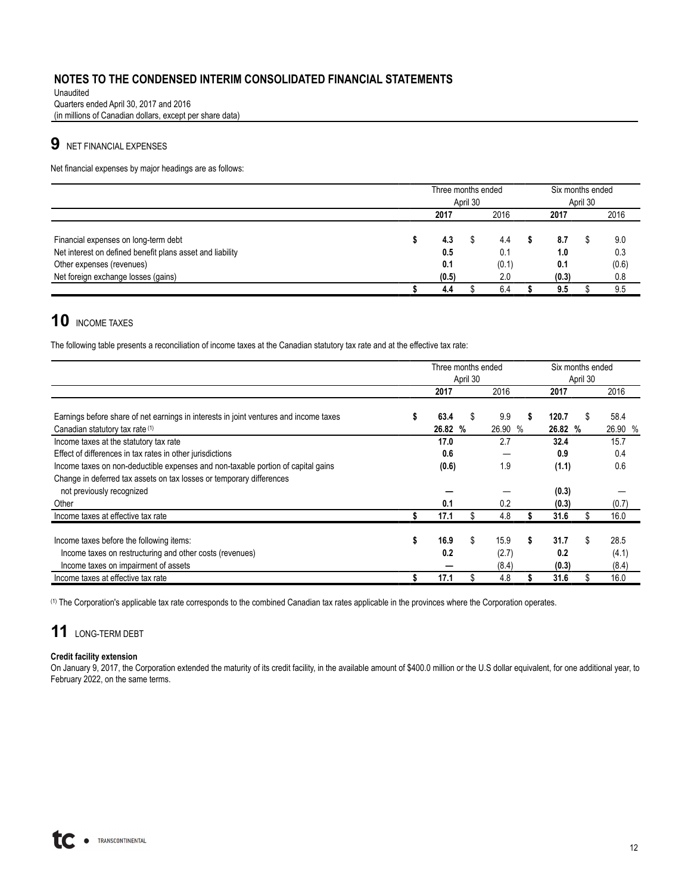Unaudited Quarters ended April 30, 2017 and 2016 (in millions of Canadian dollars, except per share data)

# **9** NET FINANCIAL EXPENSES

Net financial expenses by major headings are as follows:

|                                                                                                                                                                       |  | Three months ended         | April 30 |                            |     | Six months ended           |  |                            |  |      |  |      |
|-----------------------------------------------------------------------------------------------------------------------------------------------------------------------|--|----------------------------|----------|----------------------------|-----|----------------------------|--|----------------------------|--|------|--|------|
|                                                                                                                                                                       |  | 2017                       |          |                            |     |                            |  | 2016                       |  | 2017 |  | 2016 |
| Financial expenses on long-term debt<br>Net interest on defined benefit plans asset and liability<br>Other expenses (revenues)<br>Net foreign exchange losses (gains) |  | 4.3<br>0.5<br>0.1<br>(0.5) |          | 4.4<br>0.1<br>(0.1)<br>2.0 |     | 8.7<br>1.0<br>0.1<br>(0.3) |  | 9.0<br>0.3<br>(0.6)<br>0.8 |  |      |  |      |
|                                                                                                                                                                       |  | 4.4                        | 6.4      |                            | 9.5 |                            |  | 9.5                        |  |      |  |      |

# 10 INCOME TAXES

The following table presents a reconciliation of income taxes at the Canadian statutory tax rate and at the effective tax rate:

|                                                                                       |          | Three months ended |    |         |    | Six months ended |    |         |
|---------------------------------------------------------------------------------------|----------|--------------------|----|---------|----|------------------|----|---------|
|                                                                                       | April 30 |                    |    |         |    | April 30         |    |         |
|                                                                                       |          | 2017               |    | 2016    |    | 2017             |    | 2016    |
|                                                                                       |          | 63.4               |    | 9.9     | S  | 120.7            |    | 58.4    |
| Earnings before share of net earnings in interests in joint ventures and income taxes |          |                    |    |         |    |                  | S  |         |
| Canadian statutory tax rate (1)                                                       |          | 26.82 %            |    | 26.90 % |    | 26.82 %          |    | 26.90 % |
| Income taxes at the statutory tax rate                                                |          | 17.0               |    | 2.7     |    | 32.4             |    | 15.7    |
| Effect of differences in tax rates in other jurisdictions                             |          | 0.6                |    |         |    | 0.9              |    | 0.4     |
| Income taxes on non-deductible expenses and non-taxable portion of capital gains      |          | (0.6)              |    | 1.9     |    | (1.1)            |    | 0.6     |
| Change in deferred tax assets on tax losses or temporary differences                  |          |                    |    |         |    |                  |    |         |
| not previously recognized                                                             |          |                    |    |         |    | (0.3)            |    |         |
| Other                                                                                 |          | 0.1                |    | 0.2     |    | (0.3)            |    | (0.7)   |
| Income taxes at effective tax rate                                                    |          | 17.1               |    | 4.8     |    | 31.6             |    | 16.0    |
|                                                                                       |          |                    |    |         |    |                  |    |         |
| Income taxes before the following items:                                              |          | 16.9               | \$ | 15.9    | \$ | 31.7             | \$ | 28.5    |
| Income taxes on restructuring and other costs (revenues)                              |          | 0.2                |    | (2.7)   |    | 0.2              |    | (4.1)   |
| Income taxes on impairment of assets                                                  |          |                    |    | (8.4)   |    | (0.3)            |    | (8.4)   |
| Income taxes at effective tax rate                                                    |          | 17.1               |    | 4.8     |    | 31.6             |    | 16.0    |

(1) The Corporation's applicable tax rate corresponds to the combined Canadian tax rates applicable in the provinces where the Corporation operates.

# **11** LONG-TERM DEBT

#### **Credit facility extension**

On January 9, 2017, the Corporation extended the maturity of its credit facility, in the available amount of \$400.0 million or the U.S dollar equivalent, for one additional year, to February 2022, on the same terms.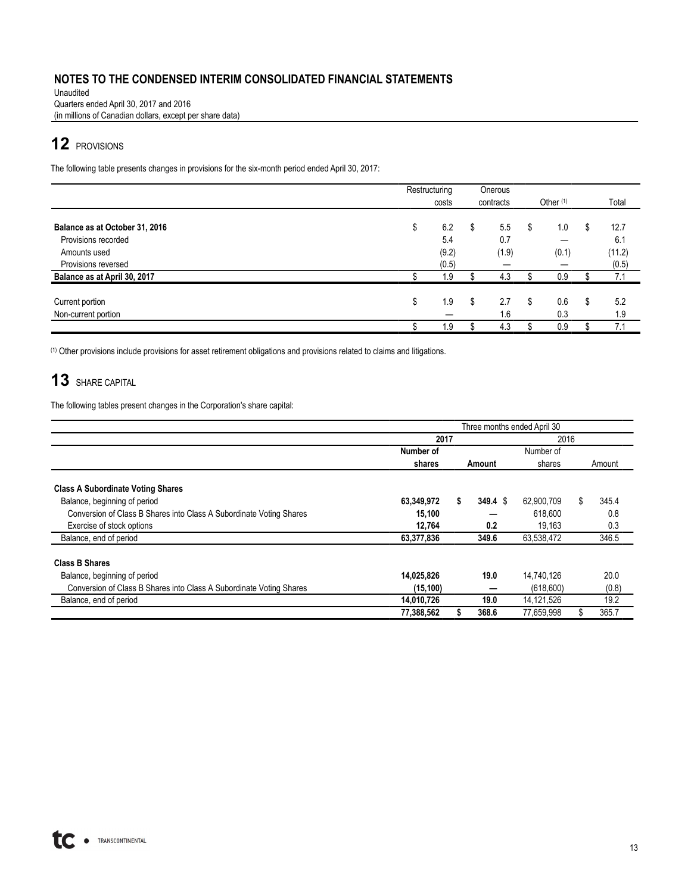Unaudited Quarters ended April 30, 2017 and 2016 (in millions of Canadian dollars, except per share data)

# **12** PROVISIONS

The following table presents changes in provisions for the six-month period ended April 30, 2017:

|                                | Restructuring |       |    | Onerous   |    |                      |            |
|--------------------------------|---------------|-------|----|-----------|----|----------------------|------------|
|                                |               | costs |    | contracts |    | Other <sup>(1)</sup> | Total      |
|                                |               |       |    |           |    |                      |            |
| Balance as at October 31, 2016 | \$            | 6.2   | \$ | 5.5       | S  | 1.0                  | \$<br>12.7 |
| Provisions recorded            |               | 5.4   |    | 0.7       |    |                      | 6.1        |
| Amounts used                   |               | (9.2) |    | (1.9)     |    | (0.1)                | (11.2)     |
| Provisions reversed            |               | (0.5) |    | –         |    |                      | (0.5)      |
| Balance as at April 30, 2017   |               | 1.9   |    | 4.3       |    | 0.9                  | 7.1        |
| Current portion                | \$            | 1.9   | S  | 2.7       | S. | 0.6                  | \$<br>5.2  |
| Non-current portion            |               |       |    | 1.6       |    | 0.3                  | 1.9        |
|                                |               | 1.9   |    | 4.3       |    | 0.9                  | 7.1        |

(1) Other provisions include provisions for asset retirement obligations and provisions related to claims and litigations.

# **13** SHARE CAPITAL

The following tables present changes in the Corporation's share capital:

|                                                                     | Three months ended April 30 |        |         |            |    |       |  |  |  |  |  |  |
|---------------------------------------------------------------------|-----------------------------|--------|---------|------------|----|-------|--|--|--|--|--|--|
|                                                                     | 2017                        |        |         | 2016       |    |       |  |  |  |  |  |  |
|                                                                     | Number of                   |        |         | Number of  |    |       |  |  |  |  |  |  |
|                                                                     | shares                      | Amount | shares  | Amount     |    |       |  |  |  |  |  |  |
| <b>Class A Subordinate Voting Shares</b>                            |                             |        |         |            |    |       |  |  |  |  |  |  |
| Balance, beginning of period                                        | 63,349,972                  | \$     | 349.4 S | 62.900.709 | \$ | 345.4 |  |  |  |  |  |  |
| Conversion of Class B Shares into Class A Subordinate Voting Shares | 15,100                      |        |         | 618,600    |    | 0.8   |  |  |  |  |  |  |
| Exercise of stock options                                           | 12.764                      |        | 0.2     | 19.163     |    | 0.3   |  |  |  |  |  |  |
| Balance, end of period                                              | 63,377,836                  |        | 349.6   | 63,538,472 |    | 346.5 |  |  |  |  |  |  |
| <b>Class B Shares</b>                                               |                             |        |         |            |    |       |  |  |  |  |  |  |
| Balance, beginning of period                                        | 14,025,826                  |        | 19.0    | 14.740.126 |    | 20.0  |  |  |  |  |  |  |
| Conversion of Class B Shares into Class A Subordinate Voting Shares | (15, 100)                   |        |         | (618,600)  |    | (0.8) |  |  |  |  |  |  |
| Balance, end of period                                              | 14,010,726                  |        | 19.0    | 14,121,526 |    | 19.2  |  |  |  |  |  |  |
|                                                                     | 77,388,562                  |        | 368.6   | 77,659,998 |    | 365.7 |  |  |  |  |  |  |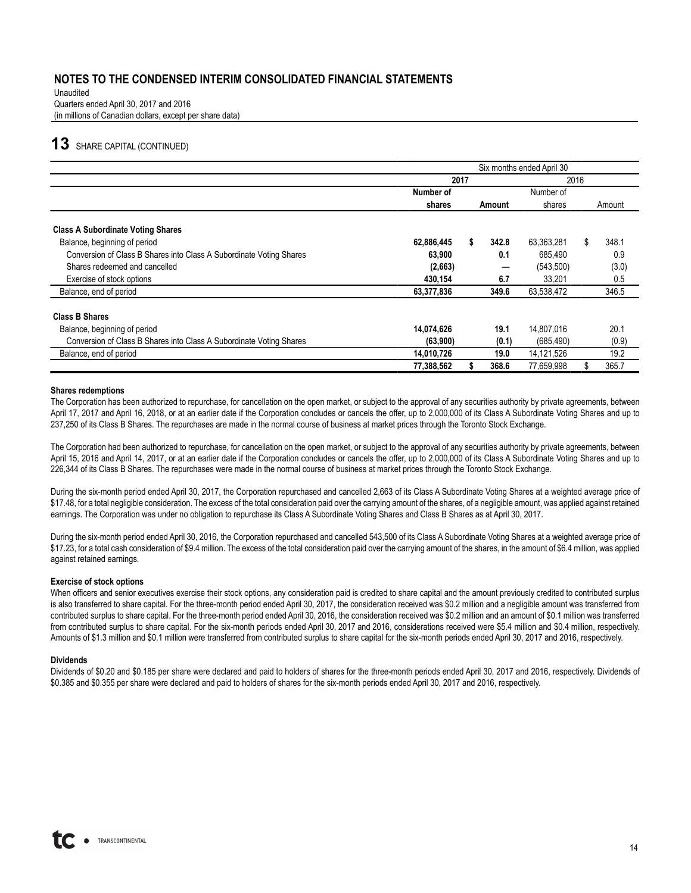Unaudited Quarters ended April 30, 2017 and 2016 (in millions of Canadian dollars, except per share data)

# **13** SHARE CAPITAL (CONTINUED)

|                                                                     | Six months ended April 30 |  |        |            |    |        |  |  |  |  |
|---------------------------------------------------------------------|---------------------------|--|--------|------------|----|--------|--|--|--|--|
|                                                                     | 2017                      |  |        | 2016       |    |        |  |  |  |  |
|                                                                     | Number of                 |  |        | Number of  |    |        |  |  |  |  |
|                                                                     | shares                    |  | Amount | shares     |    | Amount |  |  |  |  |
| <b>Class A Subordinate Voting Shares</b>                            |                           |  |        |            |    |        |  |  |  |  |
| Balance, beginning of period                                        | 62,886,445                |  | 342.8  | 63,363,281 | \$ | 348.1  |  |  |  |  |
| Conversion of Class B Shares into Class A Subordinate Voting Shares | 63,900                    |  | 0.1    | 685,490    |    | 0.9    |  |  |  |  |
| Shares redeemed and cancelled                                       | (2,663)                   |  |        | (543,500)  |    | (3.0)  |  |  |  |  |
| Exercise of stock options                                           | 430,154                   |  | 6.7    | 33.201     |    | 0.5    |  |  |  |  |
| Balance, end of period                                              | 63,377,836                |  | 349.6  | 63,538,472 |    | 346.5  |  |  |  |  |
| <b>Class B Shares</b>                                               |                           |  |        |            |    |        |  |  |  |  |
| Balance, beginning of period                                        | 14.074.626                |  | 19.1   | 14,807,016 |    | 20.1   |  |  |  |  |
| Conversion of Class B Shares into Class A Subordinate Voting Shares | (63,900)                  |  | (0.1)  | (685, 490) |    | (0.9)  |  |  |  |  |
| Balance, end of period                                              | 14,010,726                |  | 19.0   | 14,121,526 |    | 19.2   |  |  |  |  |
|                                                                     | 77,388,562                |  | 368.6  | 77,659,998 |    | 365.7  |  |  |  |  |

#### **Shares redemptions**

The Corporation has been authorized to repurchase, for cancellation on the open market, or subject to the approval of any securities authority by private agreements, between April 17, 2017 and April 16, 2018, or at an earlier date if the Corporation concludes or cancels the offer, up to 2,000,000 of its Class A Subordinate Voting Shares and up to 237,250 of its Class B Shares. The repurchases are made in the normal course of business at market prices through the Toronto Stock Exchange.

The Corporation had been authorized to repurchase, for cancellation on the open market, or subject to the approval of any securities authority by private agreements, between April 15, 2016 and April 14, 2017, or at an earlier date if the Corporation concludes or cancels the offer, up to 2,000,000 of its Class A Subordinate Voting Shares and up to 226,344 of its Class B Shares. The repurchases were made in the normal course of business at market prices through the Toronto Stock Exchange.

During the six-month period ended April 30, 2017, the Corporation repurchased and cancelled 2,663 of its Class A Subordinate Voting Shares at a weighted average price of \$17.48, for a total negligible consideration. The excess of the total consideration paid over the carrying amount of the shares, of a negligible amount, was applied against retained earnings. The Corporation was under no obligation to repurchase its Class A Subordinate Voting Shares and Class B Shares as at April 30, 2017.

During the six-month period ended April 30, 2016, the Corporation repurchased and cancelled 543,500 of its Class A Subordinate Voting Shares at a weighted average price of \$17.23, for a total cash consideration of \$9.4 million. The excess of the total consideration paid over the carrying amount of the shares, in the amount of \$6.4 million, was applied against retained earnings.

#### **Exercise of stock options**

When officers and senior executives exercise their stock options, any consideration paid is credited to share capital and the amount previously credited to contributed surplus is also transferred to share capital. For the three-month period ended April 30, 2017, the consideration received was \$0.2 million and a negligible amount was transferred from contributed surplus to share capital. For the three-month period ended April 30, 2016, the consideration received was \$0.2 million and an amount of \$0.1 million was transferred from contributed surplus to share capital. For the six-month periods ended April 30, 2017 and 2016, considerations received were \$5.4 million and \$0.4 million, respectively. Amounts of \$1.3 million and \$0.1 million were transferred from contributed surplus to share capital for the six-month periods ended April 30, 2017 and 2016, respectively.

#### **Dividends**

Dividends of \$0.20 and \$0.185 per share were declared and paid to holders of shares for the three-month periods ended April 30, 2017 and 2016, respectively. Dividends of \$0.385 and \$0.355 per share were declared and paid to holders of shares for the six-month periods ended April 30, 2017 and 2016, respectively.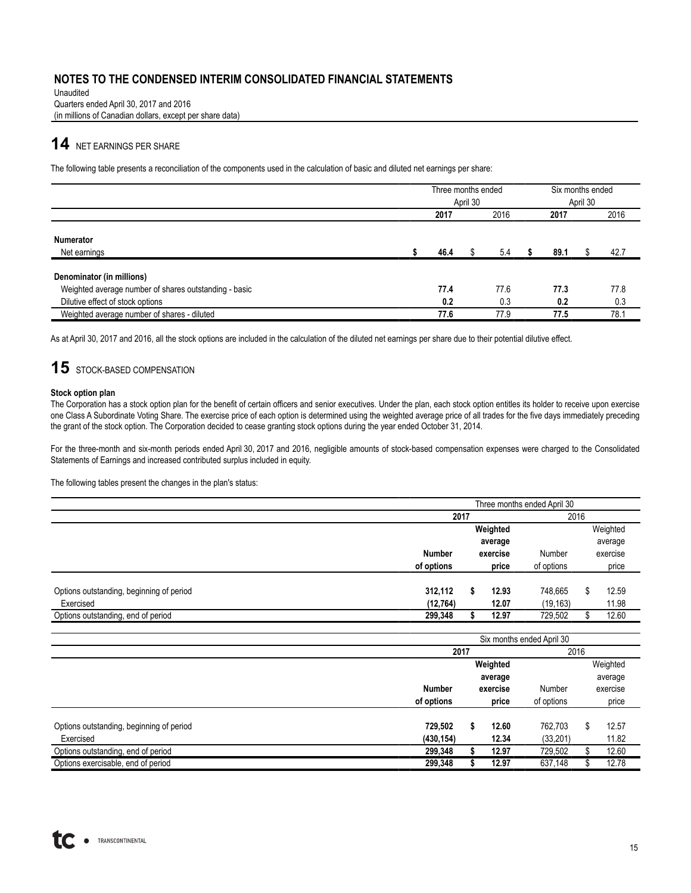Unaudited Quarters ended April 30, 2017 and 2016 (in millions of Canadian dollars, except per share data)

# **14** NET EARNINGS PER SHARE

The following table presents a reconciliation of the components used in the calculation of basic and diluted net earnings per share:

|                                                       | Three months ended |  |      | Six months ended |      |  |      |  |
|-------------------------------------------------------|--------------------|--|------|------------------|------|--|------|--|
|                                                       | April 30           |  |      |                  |      |  |      |  |
|                                                       | 2016<br>2017       |  |      |                  | 2017 |  | 2016 |  |
| <b>Numerator</b><br>Net earnings                      | 46.4               |  | 5.4  |                  | 89.1 |  | 42.7 |  |
| Denominator (in millions)                             |                    |  |      |                  |      |  |      |  |
| Weighted average number of shares outstanding - basic | 77.4               |  | 77.6 |                  | 77.3 |  | 77.8 |  |
| Dilutive effect of stock options                      | 0.2                |  | 0.3  |                  | 0.2  |  | 0.3  |  |
| Weighted average number of shares - diluted           | 77.6               |  | 77.9 |                  | 77.5 |  | 78.1 |  |

As at April 30, 2017 and 2016, all the stock options are included in the calculation of the diluted net earnings per share due to their potential dilutive effect.

# 15 STOCK-BASED COMPENSATION

#### **Stock option plan**

The Corporation has a stock option plan for the benefit of certain officers and senior executives. Under the plan, each stock option entitles its holder to receive upon exercise one Class A Subordinate Voting Share. The exercise price of each option is determined using the weighted average price of all trades for the five days immediately preceding the grant of the stock option. The Corporation decided to cease granting stock options during the year ended October 31, 2014.

For the three-month and six-month periods ended April 30, 2017 and 2016, negligible amounts of stock-based compensation expenses were charged to the Consolidated Statements of Earnings and increased contributed surplus included in equity.

The following tables present the changes in the plan's status:

|                                          | Three months ended April 30 |  |          |            |  |          |  |  |
|------------------------------------------|-----------------------------|--|----------|------------|--|----------|--|--|
|                                          | 2017                        |  |          | 2016       |  |          |  |  |
|                                          |                             |  | Weighted |            |  | Weighted |  |  |
|                                          |                             |  | average  |            |  | average  |  |  |
|                                          | <b>Number</b>               |  | exercise | Number     |  | exercise |  |  |
|                                          | of options                  |  | price    | of options |  | price    |  |  |
| Options outstanding, beginning of period | 312,112                     |  | 12.93    | 748.665    |  | 12.59    |  |  |
| Exercised                                | (12, 764)                   |  | 12.07    | (19, 163)  |  | 11.98    |  |  |
| Options outstanding, end of period       | 299,348                     |  | 12.97    | 729,502    |  | 12.60    |  |  |

|                                          |            | Six months ended April 30 |          |            |         |          |  |  |
|------------------------------------------|------------|---------------------------|----------|------------|---------|----------|--|--|
|                                          | 2017       |                           |          |            | 2016    |          |  |  |
|                                          |            |                           | Weighted |            |         | Weighted |  |  |
|                                          |            |                           | average  |            | average |          |  |  |
|                                          | Number     |                           | exercise | Number     |         | exercise |  |  |
|                                          | of options |                           | price    | of options |         | price    |  |  |
|                                          |            |                           |          |            |         |          |  |  |
| Options outstanding, beginning of period | 729,502    |                           | 12.60    | 762,703    | \$.     | 12.57    |  |  |
| Exercised                                | (430, 154) |                           | 12.34    | (33, 201)  |         | 11.82    |  |  |
| Options outstanding, end of period       | 299,348    |                           | 12.97    | 729,502    |         | 12.60    |  |  |
| Options exercisable, end of period       | 299,348    |                           | 12.97    | 637,148    |         | 12.78    |  |  |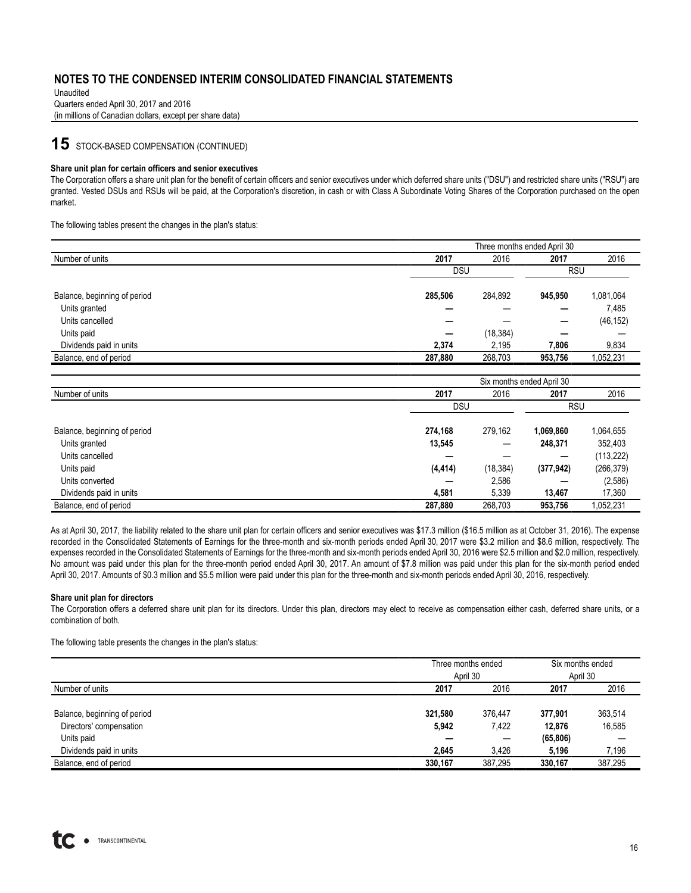Unaudited Quarters ended April 30, 2017 and 2016 (in millions of Canadian dollars, except per share data)

# **15** STOCK-BASED COMPENSATION (CONTINUED)

#### **Share unit plan for certain officers and senior executives**

The Corporation offers a share unit plan for the benefit of certain officers and senior executives under which deferred share units ("DSU") and restricted share units ("RSU") are granted. Vested DSUs and RSUs will be paid, at the Corporation's discretion, in cash or with Class A Subordinate Voting Shares of the Corporation purchased on the open market.

The following tables present the changes in the plan's status:

| Three months ended April 30 |           |            |           |  |  |  |  |  |  |
|-----------------------------|-----------|------------|-----------|--|--|--|--|--|--|
| 2017                        | 2016      | 2017       | 2016      |  |  |  |  |  |  |
|                             |           | <b>RSU</b> |           |  |  |  |  |  |  |
| 285,506                     | 284,892   | 945.950    | 1,081,064 |  |  |  |  |  |  |
|                             |           |            | 7,485     |  |  |  |  |  |  |
|                             |           |            | (46, 152) |  |  |  |  |  |  |
| –                           | (18, 384) |            |           |  |  |  |  |  |  |
| 2,374                       | 2,195     | 7,806      | 9,834     |  |  |  |  |  |  |
| 287,880                     | 268,703   | 953,756    | 1,052,231 |  |  |  |  |  |  |
|                             |           | <b>DSU</b> |           |  |  |  |  |  |  |

|                              | Six months ended April 30 |                          |            |            |  |  |  |  |  |
|------------------------------|---------------------------|--------------------------|------------|------------|--|--|--|--|--|
| Number of units              | 2017                      | 2016                     | 2017       | 2016       |  |  |  |  |  |
|                              | <b>DSU</b>                |                          | <b>RSU</b> |            |  |  |  |  |  |
| Balance, beginning of period | 274.168                   | 279.162                  | 1,069,860  | 1,064,655  |  |  |  |  |  |
| Units granted                | 13,545                    | $\overline{\phantom{m}}$ | 248,371    | 352,403    |  |  |  |  |  |
| Units cancelled              |                           |                          |            | (113, 222) |  |  |  |  |  |
| Units paid                   | (4, 414)                  | (18, 384)                | (377, 942) | (266, 379) |  |  |  |  |  |
| Units converted              | -                         | 2,586                    |            | (2,586)    |  |  |  |  |  |
| Dividends paid in units      | 4,581                     | 5,339                    | 13.467     | 17,360     |  |  |  |  |  |
| Balance, end of period       | 287,880                   | 268,703                  | 953,756    | 1,052,231  |  |  |  |  |  |

As at April 30, 2017, the liability related to the share unit plan for certain officers and senior executives was \$17.3 million (\$16.5 million as at October 31, 2016). The expense recorded in the Consolidated Statements of Earnings for the three-month and six-month periods ended April 30, 2017 were \$3.2 million and \$8.6 million, respectively. The expenses recorded in the Consolidated Statements of Earnings for the three-month and six-month periods ended April 30, 2016 were \$2.5 million and \$2.0 million, respectively. No amount was paid under this plan for the three-month period ended April 30, 2017. An amount of \$7.8 million was paid under this plan for the six-month period ended April 30, 2017. Amounts of \$0.3 million and \$5.5 million were paid under this plan for the three-month and six-month periods ended April 30, 2016, respectively.

#### **Share unit plan for directors**

The Corporation offers a deferred share unit plan for its directors. Under this plan, directors may elect to receive as compensation either cash, deferred share units, or a combination of both.

The following table presents the changes in the plan's status:

|                              | Three months ended |         | Six months ended |         |  |  |
|------------------------------|--------------------|---------|------------------|---------|--|--|
|                              | April 30           |         | April 30         |         |  |  |
| Number of units              | 2017               | 2016    | 2017             | 2016    |  |  |
|                              |                    |         |                  |         |  |  |
| Balance, beginning of period | 321.580            | 376.447 | 377,901          | 363.514 |  |  |
| Directors' compensation      | 5,942              | 7.422   | 12.876           | 16,585  |  |  |
| Units paid                   | -                  | –       | (65, 806)        |         |  |  |
| Dividends paid in units      | 2,645              | 3.426   | 5,196            | 7,196   |  |  |
| Balance, end of period       | 330,167            | 387,295 | 330,167          | 387,295 |  |  |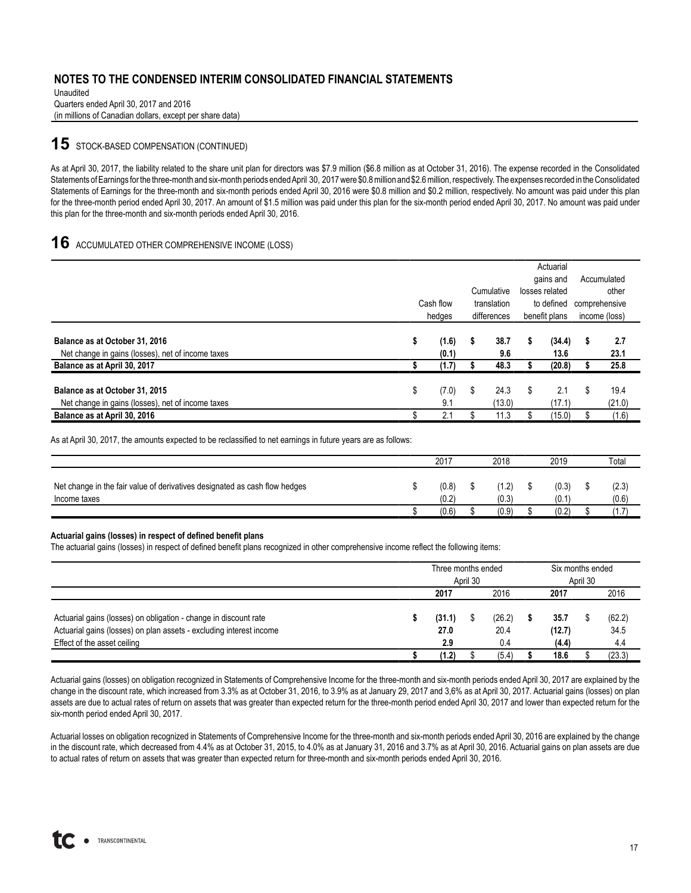Unaudited Quarters ended April 30, 2017 and 2016 (in millions of Canadian dollars, except per share data)

# **15** STOCK-BASED COMPENSATION (CONTINUED)

As at April 30, 2017, the liability related to the share unit plan for directors was \$7.9 million (\$6.8 million as at October 31, 2016). The expense recorded in the Consolidated Statements of Earnings for the three-month and six-month periods ended April 30, 2017were \$0.8million and \$2.6million, respectively. The expenses recorded in the Consolidated Statements of Earnings for the three-month and six-month periods ended April 30, 2016 were \$0.8 million and \$0.2 million, respectively. No amount was paid under this plan for the three-month period ended April 30, 2017. An amount of \$1.5 million was paid under this plan for the six-month period ended April 30, 2017. No amount was paid under this plan for the three-month and six-month periods ended April 30, 2016.

# **16** ACCUMULATED OTHER COMPREHENSIVE INCOME (LOSS)

|                                                   |    |           |             |             |               | Actuarial      |   |               |
|---------------------------------------------------|----|-----------|-------------|-------------|---------------|----------------|---|---------------|
|                                                   |    |           |             |             |               | gains and      |   | Accumulated   |
|                                                   |    |           |             | Cumulative  |               | losses related |   | other         |
|                                                   |    | Cash flow | translation |             | to defined    |                |   | comprehensive |
|                                                   |    | hedges    |             | differences | benefit plans |                |   | income (loss) |
|                                                   |    |           |             |             |               |                |   |               |
| Balance as at October 31, 2016                    | ъ  | (1.6)     | s           | 38.7        | S             | (34.4)         | 5 | 2.7           |
| Net change in gains (losses), net of income taxes |    | (0.1)     |             | 9.6         |               | 13.6           |   | 23.1          |
| Balance as at April 30, 2017                      |    | (1.7)     |             | 48.3        |               | (20.8)         |   | 25.8          |
|                                                   |    |           |             |             |               |                |   |               |
| Balance as at October 31, 2015                    | \$ | (7.0)     | \$          | 24.3        | \$            | 2.1            | S | 19.4          |
| Net change in gains (losses), net of income taxes |    | 9.1       |             | (13.0)      |               | (17.1)         |   | (21.0)        |
| Balance as at April 30, 2016                      |    | 2.1       |             | 11.3        |               | (15.0)         |   | (1.6)         |

As at April 30, 2017, the amounts expected to be reclassified to net earnings in future years are as follows:

|                                                                                            | 2017           | 2018          | 2019           | Total          |
|--------------------------------------------------------------------------------------------|----------------|---------------|----------------|----------------|
| Net change in the fair value of derivatives designated as cash flow hedges<br>Income taxes | (0.8)<br>(0.2) | 1.2)<br>(0.3) | (0.3)<br>(0.1) | (2.3)<br>(0.6) |
|                                                                                            | (0.6)          | (0.9)         | (0.2)          | (1.7           |

#### **Actuarial gains (losses) in respect of defined benefit plans**

The actuarial gains (losses) in respect of defined benefit plans recognized in other comprehensive income reflect the following items:

|                                                                     | Three months ended |        |  |        |  | Six months ended |  |        |  |
|---------------------------------------------------------------------|--------------------|--------|--|--------|--|------------------|--|--------|--|
|                                                                     | April 30           |        |  |        |  | April 30         |  |        |  |
|                                                                     |                    | 2017   |  | 2016   |  | 2017             |  | 2016   |  |
| Actuarial gains (losses) on obligation - change in discount rate    |                    | (31.1) |  | (26.2) |  | 35.7             |  | (62.2) |  |
| Actuarial gains (losses) on plan assets - excluding interest income |                    | 27.0   |  | 20.4   |  | (12.7)           |  | 34.5   |  |
| Effect of the asset ceiling                                         |                    | 2.9    |  | 0.4    |  | (4.4)            |  | 4.4    |  |
|                                                                     |                    | (1.2)  |  | (5.4)  |  | 18.6             |  | (23.3) |  |

Actuarial gains (losses) on obligation recognized in Statements of Comprehensive Income for the three-month and six-month periods ended April 30, 2017 are explained by the change in the discount rate, which increased from 3.3% as at October 31, 2016, to 3.9% as at January 29, 2017 and 3,6% as at April 30, 2017. Actuarial gains (losses) on plan assets are due to actual rates of return on assets that was greater than expected return for the three-month period ended April 30, 2017 and lower than expected return for the six-month period ended April 30, 2017.

Actuarial losses on obligation recognized in Statements of Comprehensive Income for the three-month and six-month periods ended April 30, 2016 are explained by the change in the discount rate, which decreased from 4.4% as at October 31, 2015, to 4.0% as at January 31, 2016 and 3.7% as at April 30, 2016. Actuarial gains on plan assets are due to actual rates of return on assets that was greater than expected return for three-month and six-month periods ended April 30, 2016.